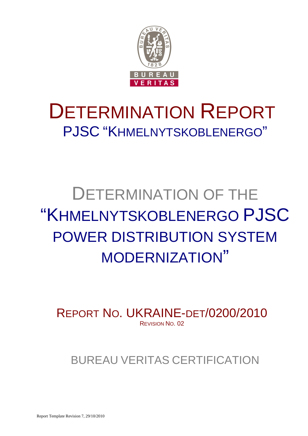

# DETERMINATION REPORT PJSC "KHMELNYTSKOBLENERGO"

# DETERMINATION OF THE "KHMELNYTSKOBLENERGO PJSC POWER DISTRIBUTION SYSTEM MODERNIZATION"

REPORT NO. UKRAINE-DET/0200/2010 REVISION NO. 02

BUREAU VERITAS CERTIFICATION

Report Template Revision 7, 29/10/2010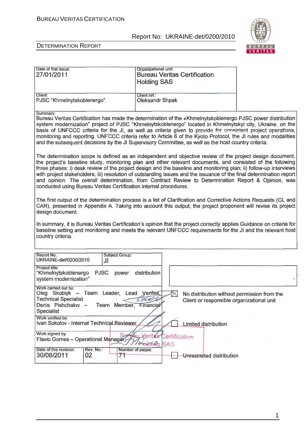

#### DETERMINATION REPORT

| Date of first issue:                                                                                                 | Organizational unit:                |                                             |
|----------------------------------------------------------------------------------------------------------------------|-------------------------------------|---------------------------------------------|
| 27/01/2011                                                                                                           | <b>Bureau Veritas Certification</b> |                                             |
|                                                                                                                      | <b>Holding SAS</b>                  |                                             |
|                                                                                                                      |                                     |                                             |
| Client:                                                                                                              | Client ref.:                        |                                             |
| PJSC "Khmelnytskoblenergo"                                                                                           | Oleksandr Shpak                     |                                             |
|                                                                                                                      |                                     |                                             |
| Summary:                                                                                                             |                                     |                                             |
| Bureau Veritas Certification has made the determination of the «Khmelnytskoblenergo PJSC power distribution          |                                     |                                             |
| system modernization" project of PJSC "Khmelnytskoblenergo" located in Khmelnytskyi city, Ukraine, on the            |                                     |                                             |
| basis of UNFCCC criteria for the JI, as well as criteria given to provide for consistent project operations,         |                                     |                                             |
| monitoring and reporting. UNFCCC criteria refer to Article 6 of the Kyoto Protocol, the JI rules and modalities      |                                     |                                             |
| and the subsequent decisions by the JI Supervisory Committee, as well as the host country criteria.                  |                                     |                                             |
|                                                                                                                      |                                     |                                             |
| The determination scope is defined as an independent and objective review of the project design document,            |                                     |                                             |
| the project's baseline study, monitoring plan and other relevant documents, and consisted of the following           |                                     |                                             |
| three phases: i) desk review of the project design and the baseline and monitoring plan; ii) follow-up interviews    |                                     |                                             |
| with project stakeholders; iii) resolution of outstanding issues and the issuance of the final determination report  |                                     |                                             |
| and opinion. The overall determination, from Contract Review to Determination Report & Opinion, was                  |                                     |                                             |
| conducted using Bureau Veritas Certification internal procedures.                                                    |                                     |                                             |
|                                                                                                                      |                                     |                                             |
| The first output of the determination process is a list of Clarification and Corrective Actions Requests (CL and     |                                     |                                             |
| CAR), presented in Appendix A. Taking into account this output, the project proponent will revise its project        |                                     |                                             |
| design document.                                                                                                     |                                     |                                             |
|                                                                                                                      |                                     |                                             |
| In summary, it is Bureau Veritas Certification's opinion that the project correctly applies Guidance on criteria for |                                     |                                             |
| baseline setting and monitoring and meets the relevant UNFCCC requirements for the JI and the relevant host          |                                     |                                             |
| country criteria.                                                                                                    |                                     |                                             |
|                                                                                                                      |                                     |                                             |
|                                                                                                                      |                                     |                                             |
| Report No.:<br>Subject Group:                                                                                        |                                     |                                             |
| UKRAINE-det/0200/2010<br>JI                                                                                          |                                     |                                             |
| Project title:                                                                                                       | distribution                        |                                             |
| <b>PJSC</b><br>"Khmelnytskoblenergo<br>power<br>system modernization"                                                |                                     |                                             |
|                                                                                                                      |                                     |                                             |
| Work carried out by:                                                                                                 |                                     |                                             |
| Oleg Skoblyk - Team Leader, Lead Verifiet                                                                            | ℵ                                   | No distribution without permission from the |
| <b>Technical Specialist</b>                                                                                          |                                     | Client or responsible organizational unit   |
| Denis Pishchalov -<br>Team Member, Financial                                                                         |                                     |                                             |
| Specialist                                                                                                           |                                     |                                             |
| Work verified by:                                                                                                    |                                     |                                             |
| Ivan Sokolov - Internal Technical Reviewer                                                                           | Limited distribution                |                                             |
| Work signed by:                                                                                                      |                                     |                                             |
| Flavio Gomes - Operational Manager                                                                                   | Vor<br>Certification                |                                             |
|                                                                                                                      | irkipa<br>SAS                       |                                             |
| Date of this revision:<br>Rev. No.:                                                                                  | Number of pages:                    |                                             |
| 30/08/2011<br>02<br>71                                                                                               | Unrestricted distribution           |                                             |
|                                                                                                                      |                                     |                                             |

1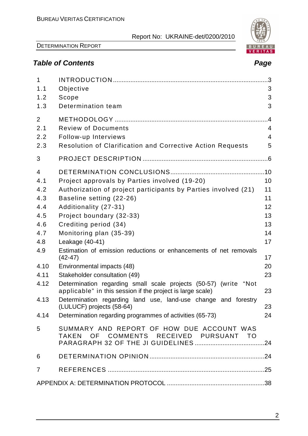

DETERMINATION REPORT

# **Table of Contents Page**

| $\mathbf{1}$<br>1.1 | Objective                                                                                                                      | 3              |
|---------------------|--------------------------------------------------------------------------------------------------------------------------------|----------------|
| 1.2                 | Scope                                                                                                                          | 3              |
| 1.3                 | Determination team                                                                                                             | 3              |
| 2                   |                                                                                                                                | $\overline{A}$ |
| 2.1                 | <b>Review of Documents</b>                                                                                                     | 4              |
| 2.2                 | Follow-up Interviews                                                                                                           | $\overline{4}$ |
| 2.3                 | <b>Resolution of Clarification and Corrective Action Requests</b>                                                              | 5              |
| 3                   |                                                                                                                                |                |
| $\overline{4}$      |                                                                                                                                |                |
| 4.1                 | Project approvals by Parties involved (19-20)                                                                                  | 10             |
| 4.2                 | Authorization of project participants by Parties involved (21)                                                                 | 11             |
| 4.3                 | Baseline setting (22-26)                                                                                                       | 11             |
| 4.4                 | Additionality (27-31)                                                                                                          | 12             |
| 4.5                 | Project boundary (32-33)                                                                                                       | 13             |
| 4.6                 | Crediting period (34)                                                                                                          | 13             |
| 4.7                 | Monitoring plan (35-39)                                                                                                        | 14             |
| 4.8                 | Leakage (40-41)                                                                                                                | 17             |
| 4.9                 | Estimation of emission reductions or enhancements of net removals<br>$(42-47)$                                                 | 17             |
| 4.10                | Environmental impacts (48)                                                                                                     | 20             |
| 4.11                | Stakeholder consultation (49)                                                                                                  | 23             |
| 4.12                | Determination regarding small scale projects (50-57) (write "Not<br>applicable" in this session if the project is large scale) | 23             |
| 4.13                | Determination regarding land use, land-use change and forestry<br>(LULUCF) projects (58-64)                                    | 23             |
| 4.14                | Determination regarding programmes of activities (65-73)                                                                       | 24             |
| 5                   | SUMMARY AND REPORT OF HOW DUE ACCOUNT WAS<br>TAKEN OF COMMENTS RECEIVED PURSUANT TO                                            |                |
| 6                   |                                                                                                                                |                |
| $\overline{7}$      |                                                                                                                                |                |
|                     |                                                                                                                                |                |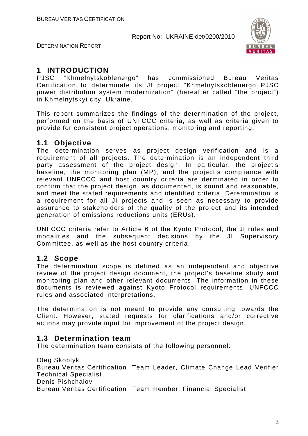

DETERMINATION REPORT

# **1 INTRODUCTION**

PJSC "Khmelnytskoblenergo" has commissioned Bureau Veritas Certification to determinate its JI project "Khmelnytskoblenergo PJSC power distribution system modernization" (hereafter called "the project") in Khmelnytskyi city, Ukraine.

This report summarizes the findings of the determination of the project, performed on the basis of UNFCCC criteria, as well as criteria given to provide for consistent project operations, monitoring and reporting.

# **1.1 Objective**

The determination serves as project design verification and is a requirement of all projects. The determination is an independent third party assessment of the project design. In particular, the project's baseline, the monitoring plan (MP), and the project's compliance with relevant UNFCCC and host country criteria are derminated in order to confirm that the project design, as documented, is sound and reasonable, and meet the stated requirements and identified criteria. Determination is a requirement for all JI projects and is seen as necessary to provide assurance to stakeholders of the quality of the project and its intended generation of emissions reductions units (ERUs).

UNFCCC criteria refer to Article 6 of the Kyoto Protocol, the JI rules and modalities and the subsequent decisions by the JI Supervisory Committee, as well as the host country criteria.

# **1.2 Scope**

The determination scope is defined as an independent and objective review of the project design document, the project's baseline study and monitoring plan and other relevant documents. The information in these documents is reviewed against Kyoto Protocol requirements, UNFCCC rules and associated interpretations.

The determination is not meant to provide any consulting towards the Client. However, stated requests for clarifications and/or corrective actions may provide input for improvement of the project design.

# **1.3 Determination team**

The determination team consists of the following personnel:

Oleg Skoblyk Bureau Veritas Certification Team Leader, Climate Change Lead Verifier Technical Specialist Denis Pishchalov Bureau Veritas Certification Team member, Financial Specialist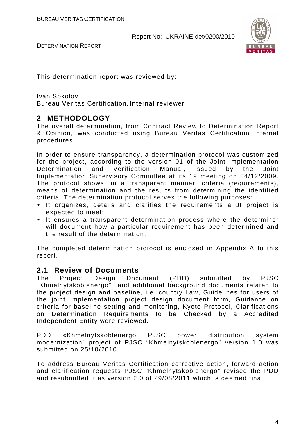

DETERMINATION REPORT

This determination report was reviewed by:

Ivan Sokolov Bureau Veritas Certification, Internal reviewer

# **2 METHODOLOGY**

The overall determination, from Contract Review to Determination Report & Opinion, was conducted using Bureau Veritas Certification internal procedures.

In order to ensure transparency, a determination protocol was customized for the project, according to the version 01 of the Joint Implementation Determination and Verification Manual, issued by the Joint Implementation Supervisory Committee at its 19 meeting on 04/12/2009. The protocol shows, in a transparent manner, criteria (requirements), means of determination and the results from determining the identified criteria. The determination protocol serves the following purposes:

- It organizes, details and clarifies the requirements a JI project is expected to meet;
- It ensures a transparent determination process where the determiner will document how a particular requirement has been determined and the result of the determination.

The completed determination protocol is enclosed in Appendix A to this report.

## **2.1 Review of Documents**

The Project Design Document (PDD) submitted by PJSC "Khmelnytskoblenergo" and additional background documents related to the project design and baseline, i.e. country Law, Guidelines for users of the joint implementation project design document form, Guidance on criteria for baseline setting and monitoring, Kyoto Protocol, Clarifications on Determination Requirements to be Checked by a Accredited Independent Entity were reviewed.

PDD «Khmelnytskoblenergo PJSC power distribution system modernization" project of PJSC "Khmelnytskoblenergo" version 1.0 was submitted on 25/10/2010.

To address Bureau Veritas Certification corrective action, forward action and clarification requests PJSC "Khmelnytskoblenergo" revised the PDD and resubmitted it as version 2.0 of 29/08/2011 which is deemed final.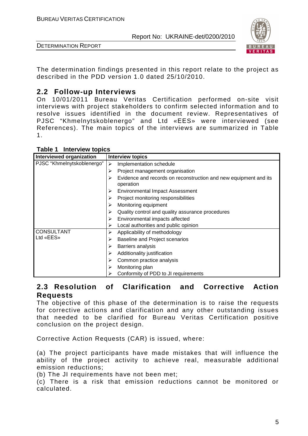

DETERMINATION REPORT

The determination findings presented in this report relate to the project as described in the PDD version 1.0 dated 25/10/2010.

# **2.2 Follow-up Interviews**

On 10/01/2011 Bureau Veritas Certification performed on-site visit interviews with project stakeholders to confirm selected information and to resolve issues identified in the document review. Representatives of PJSC "Khmelnytskoblenergo" and Ltd «ЕЕS» were interviewed (see References). The main topics of the interviews are summarized in Table 1.

| Interviewed organization   | <b>Interview topics</b>                                                       |
|----------------------------|-------------------------------------------------------------------------------|
| PJSC "Khmelnytskoblenergo" | Implementation schedule<br>≻                                                  |
|                            | Project management organisation<br>⋗                                          |
|                            | Evidence and records on reconstruction and new equipment and its<br>operation |
|                            | <b>Environmental Impact Assessment</b><br>⋗                                   |
|                            | Project monitoring responsibilities                                           |
|                            | Monitoring equipment<br>⋗                                                     |
|                            | Quality control and quality assurance procedures                              |
|                            | Environmental impacts affected<br>⋗                                           |
|                            | Local authorities and public opinion                                          |
| <b>CONSULTANT</b>          | Applicability of methodology<br>⋗                                             |
| Ltd «EES»                  | <b>Baseline and Project scenarios</b><br>⋗                                    |
|                            | Barriers analysis<br>⋗                                                        |
|                            | Additionality justification<br>⋗                                              |
|                            | Common practice analysis                                                      |
|                            | Monitoring plan<br>⋗                                                          |
|                            | Conformity of PDD to JI requirements                                          |

#### **Table 1 Interview topics**

## **2.3 Resolution of Clarification and Corrective Action Requests**

The objective of this phase of the determination is to raise the requests for corrective actions and clarification and any other outstanding issues that needed to be clarified for Bureau Veritas Certification positive conclusion on the project design.

Corrective Action Requests (CAR) is issued, where:

(a) The project participants have made mistakes that will influence the ability of the project activity to achieve real, measurable additional emission reductions;

(b) The JI requirements have not been met;

(c) There is a risk that emission reductions cannot be monitored or calculated.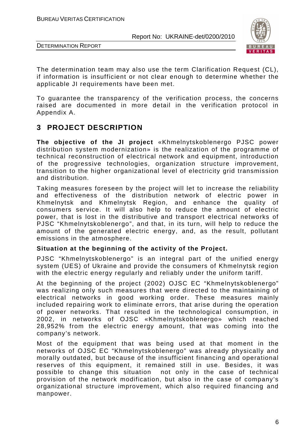



The determination team may also use the term Clarification Request (CL), if information is insufficient or not clear enough to determine whether the applicable JI requirements have been met.

To guarantee the transparency of the verification process, the concerns raised are documented in more detail in the verification protocol in Appendix A.

# **3 PROJECT DESCRIPTION**

**The objective of the JI project** «Khmelnytskoblenergo PJSC power distribution system modernization» is the realization of the programme of technical reconstruction of electrical network and equipment, introduction of the progressive technologies, organization structure improvement, transition to the higher organizational level of electricity grid transmission and distribution.

Taking measures foreseen by the project will let to increase the reliability and effectiveness of the distribution network of electric power in Khmelnytsk and Khmelnytsk Region, and enhance the quality of consumers service. It will also help to reduce the amount of electric power, that is lost in the distributive and transport electrical networks of PJSC "Khmelnytskoblenergo", and that, in its turn, will help to reduce the amount of the generated electric energy, and, as the result, pollutant emissions in the atmosphere.

#### **Situation at the beginning of the activity of the Project.**

PJSC "Khmelnytskoblenergo" is an integral part of the unified energy system (UES) of Ukraine and provide the consumers of Khmelnytsk region with the electric energy regularly and reliably under the uniform tariff.

At the beginning of the project (2002) OJSC EC "Khmelnytskoblenergo" was realizing only such measures that were directed to the maintaining of electrical networks in good working order. These measures mainly included repairing work to eliminate errors, that arise during the operation of power networks. That resulted in the technological consumption, in 2002, in networks of OJSC «Khmelnytskoblenergo» which reached 28,952% from the electric energy amount, that was coming into the company's network.

Most of the equipment that was being used at that moment in the networks of OJSC EC "Khmelnytskoblenergo" was already physically and morally outdated, but because of the insufficient financing and operational reserves of this equipment, it remained still in use. Besides, it was possible to change this situation not only in the case of technical provision of the network modification, but also in the case of company's organizational structure improvement, which also required financing and manpower.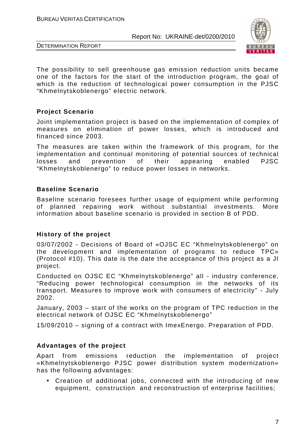

DETERMINATION REPORT

The possibility to sell greenhouse gas emission reduction units became one of the factors for the start of the introduction program, the goal of which is the reduction of technological power consumption in the PJSC "Khmelnytskoblenergo" electric network.

### **Project Scenario**

Joint implementation project is based on the implementation of complex of measures on elimination of power losses, which is introduced and financed since 2003.

The measures are taken within the framework of this program, for the implementation and continual monitoring of potential sources of technical losses and prevention of their appearing enabled PJSC "Khmelnytskoblenergo" to reduce power losses in networks.

### **Baseline Scenario**

Baseline scenario foresees further usage of equipment while performing of planned repairing work without substantial investments. More information about baseline scenario is provided in section B of PDD.

#### **History of the project**

03/07/2002 - Decisions of Board of «OJSC EC "Khmelnytskoblenergo" on the development and implementation of programs to reduce TPC» (Protocol #10). This date is the date the acceptance of this project as a JI project.

Conducted on OJSC EC "Khmelnytskoblenergo" all - industry conference, "Reducing power technological consumption in the networks of its transport. Measures to improve work with consumers of electricity" - July 2002.

January, 2003 – start of the works on the program of TPC reduction in the electrical network of OJSC EC "Khmelnytskoblenergo"

15/09/2010 – signing of a contract with ImexEnergo. Preparation of PDD.

## **Advantages of the project**

Apart from emissions reduction the implementation of project «Khmelnytskoblenergo PJSC power distribution system modernization» has the following advantages:

• Creation of additional jobs, connected with the introducing of new equipment, construction and reconstruction of enterprise facilities;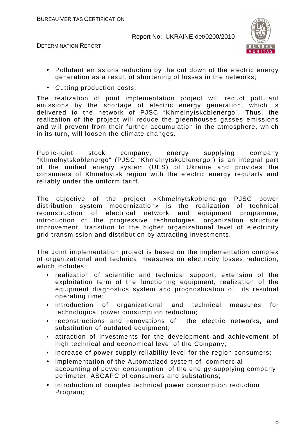



- Pollutant emissions reduction by the cut down of the electric energy generation as a result of shortening of losses in the networks;
- Cutting production costs.

The realization of joint implementation project will reduct pollutant emissions by the shortage of electric energy generation, which is delivered to the network of PJSC "Khmelnytskoblenergo". Thus, the realization of the project will reduce the greenhouses gasses emissions and will prevent from their further accumulation in the atmosphere, which in its turn, will loosen the climate changes.

Public-joint stock company, energy supplying company "Khmelnytskoblenergo" (PJSC "Khmelnytskoblenergo") is an integral part of the unified energy system (UES) of Ukraine and provides the consumers of Khmelnytsk region with the electric energy regularly and reliably under the uniform tariff.

The objective of the project «Khmelnytskoblenergo PJSC power distribution system modernization» is the realization of technical reconstruction of electrical network and equipment programme, introduction of the progressive technologies, organization structure improvement, transition to the higher organizational level of electricity grid transmission and distribution by attracting investments.

The Joint implementation project is based on the implementation complex of organizational and technical measures on electricity losses reduction, which includes:

- realization of scientific and technical support, extension of the exploitation term of the functioning equipment, realization of the equipment diagnostics system and prognostication of its residual operating time;
- introduction of organizational and technical measures for technological power consumption reduction;
- reconstructions and renovations of the electric networks, and substitution of outdated equipment;
- attraction of investments for the development and achievement of high technical and economical level of the Company;
- increase of power supply reliability level for the region consumers;
- implementation of the Automatized system of commercial accounting of power consumption of the energy-supplying company perimeter, ASCAPC of consumers and substations;
- introduction of complex technical power consumption reduction Program;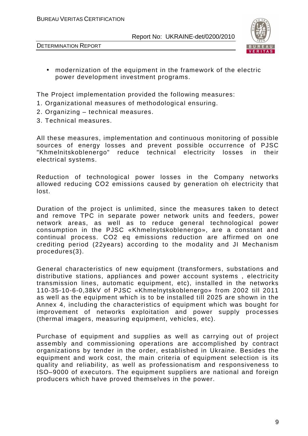



• modernization of the equipment in the framework of the electric power development investment programs.

The Project implementation provided the following measures:

- 1. Organizational measures of methodological ensuring.
- 2. Organizing technical measures.
- 3. Technical measures.

All these measures, implementation and continuous monitoring of possible sources of energy losses and prevent possible occurrence of PJSC "Khmelnitskoblenergo" reduce technical electricity losses in their electrical systems.

Reduction of technological power losses in the Company networks allowed reducing СО2 emissions caused by generation oh electricity that lost.

Duration of the project is unlimited, since the measures taken to detect and remove TPC in separate power network units and feeders, power network areas, as well as to reduce general technological power consumption in the PJSC «Khmelnytskoblenergo», are a constant and continual process. CO2 eq emissions reduction are affirmed on one crediting period (22years) according to the modality and JI Mechanism procedures(3).

General characteristics of new equipment (transformers, substations and distributive stations, appliances and power account systems , electricity transmission lines, automatic equipment, etc), installed in the networks 110-35-10-6-0,38kV of PJSC «Khmelnytskoblenergo» from 2002 till 2011 as well as the equipment which is to be installed till 2025 are shown in the Annex 4, including the characteristics of equipment which was bought for improvement of networks exploitation and power supply processes (thermal imagers, measuring equipment, vehicles, etc).

Purchase of equipment and supplies as well as carrying out of project assembly and commissioning operations are accomplished by contract organizations by tender in the order, established in Ukraine. Besides the equipment and work cost, the main criteria of equipment selection is its quality and reliability, as well as professionatism and responsiveness to ISO–9000 of executors. The equipment suppliers are national and foreign producers which have proved themselves in the power.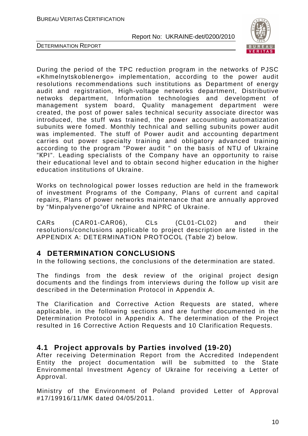



During the period of the TPC reduction program in the networks of PJSC «Khmelnytskoblenergo» implementation, according to the power audit resolutions recommendations such institutions as Department of energy audit and registration, High-voltage networks department, Distributive netwoks department, Information technologies and development of management system board, Quality management department were created, the post of power sales technical security associate director was introduced, the stuff was trained, the power accounting automatization subunits were fomed. Monthly technical and selling subunits power audit was implemented. The stuff of Power audit and accounting department carries out power specialty training and obligatory advanced training according to the program "Power audit " on the basis of NTU of Ukraine "КPI". Leading specialists of the Company have an opportunity to raise their educational level and to obtain second higher education in the higher education institutions of Ukraine.

Works on technological power losses reduction are held in the framework of investment Programs of the Company, Plans of current and capital repairs, Plans of power networks maintenance that are annually approved by "Minpalyvenergo"of Ukraine and NPRC of Ukraine.

CARs (CAR01-CAR06), CLs (CL01-CL02) and their resolutions/conclusions applicable to project description are listed in the APPENDIX A: DETERMINATION PROTOCOL (Table 2) below.

## **4 DETERMINATION CONCLUSIONS**

In the following sections, the conclusions of the determination are stated.

The findings from the desk review of the original project design documents and the findings from interviews during the follow up visit are described in the Determination Protocol in Appendix A.

The Clarification and Corrective Action Requests are stated, where applicable, in the following sections and are further documented in the Determination Protocol in Appendix A. The determination of the Project resulted in 16 Corrective Action Requests and 10 Clarification Requests.

# **4.1 Project approvals by Parties involved (19-20)**

After receiving Determination Report from the Accredited Independent Entity the project documentation will be submitted to the State Environmental Investment Agency of Ukraine for receiving a Letter of Approval.

Ministry of the Environment of Poland provided Letter of Approval #17/19916/11/MK dated 04/05/2011.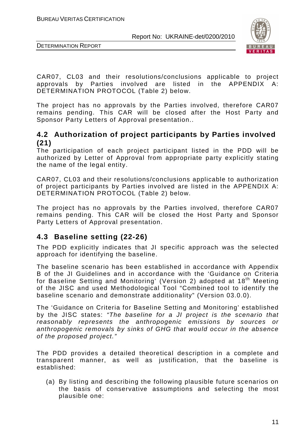



CAR07, CL03 and their resolutions/conclusions applicable to project approvals by Parties involved are listed in the APPENDIX A: DETERMINATION PROTOCOL (Table 2) below.

The project has no approvals by the Parties involved, therefore CAR07 remains pending. This CAR will be closed after the Host Party and Sponsor Party Letters of Approval presentation..

## **4.2 Authorization of project participants by Parties involved (21)**

The participation of each project participant listed in the PDD will be authorized by Letter of Approval from appropriate party explicitly stating the name of the legal entity.

CAR07, CL03 and their resolutions/conclusions applicable to authorization of project participants by Parties involved are listed in the APPENDIX A: DETERMINATION PROTOCOL (Table 2) below.

The project has no approvals by the Parties involved, therefore CAR07 remains pending. This CAR will be closed the Host Party and Sponsor Party Letters of Approval presentation.

# **4.3 Baseline setting (22-26)**

The PDD explicitly indicates that JI specific approach was the selected approach for identifying the baseline.

The baseline scenario has been established in accordance with Appendix B of the JI Guidelines and in accordance with the 'Guidance on Criteria for Baseline Setting and Monitoring' (Version 2) adopted at 18<sup>th</sup> Meeting of the JISC and used Methodological Tool "Combined tool to identify the baseline scenario and demonstrate additionality" (Version 03.0.0).

The 'Guidance on Criteria for Baseline Setting and Monitoring' established by the JISC states: "The baseline for a JI project is the scenario that reasonably represents the anthropogenic emissions by sources or anthropogenic removals by sinks of GHG that would occur in the absence of the proposed project."

The PDD provides a detailed theoretical description in a complete and transparent manner, as well as justification, that the baseline is established:

(a) By listing and describing the following plausible future scenarios on the basis of conservative assumptions and selecting the most plausible one: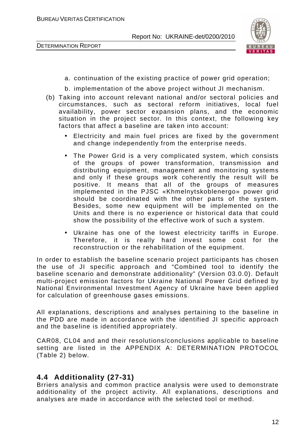DETERMINATION REPORT



- a. continuation of the existing practice of power grid operation;
- b. implementation of the above project without JI mechanism.
- (b) Taking into account relevant national and/or sectoral policies and circumstances, such as sectoral reform initiatives, local fuel availability, power sector expansion plans, and the economic situation in the project sector. In this context, the following key factors that affect a baseline are taken into account:
	- Electricity and main fuel prices are fixed by the government and change independently from the enterprise needs.
	- The Power Grid is a very complicated system, which consists of the groups of power transformation, transmission and distributing equipment, management and monitoring systems and only if these groups work coherently the result will be positive. It means that all of the groups of measures implemented in the PJSC «Khmelnytskoblenergo» power grid should be coordinated with the other parts of the system. Besides, some new equipment will be implemented on the Units and there is no experience or historical data that could show the possibility of the effective work of such a system.
	- Ukraine has one of the lowest electricity tariffs in Europe. Therefore, it is really hard invest some cost for the reconstruction or the rehabilitation of the equipment.

In order to establish the baseline scenario project participants has chosen the use of JI specific approach and "Combined tool to identify the baseline scenario and demonstrate additionality" (Version 03.0.0). Default multi-project emission factors for Ukraine National Power Grid defined by National Environmental Investment Agency of Ukraine have been applied for calculation of greenhouse gases emissions.

All explanations, descriptions and analyses pertaining to the baseline in the PDD are made in accordance with the identified JI specific approach and the baseline is identified appropriately.

CAR08, CL04 and and their resolutions/conclusions applicable to baseline setting are listed in the APPENDIX A: DETERMINATION PROTOCOL (Table 2) below.

## **4.4 Additionality (27-31)**

Brriers analysis and common practice analysis were used to demonstrate additionality of the project activity. All explanations, descriptions and analyses are made in accordance with the selected tool or method.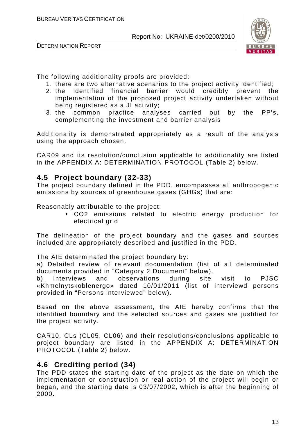



The following additionality proofs are provided:

- 1. there are two alternative scenarios to the project activity identified;
- 2. the identified financial barrier would credibly prevent the implementation of the proposed project activity undertaken without being registered as a JI activity;
- 3. the common practice analyses carried out by the PP's, complementing the investment and barrier analysis

Additionality is demonstrated appropriately as a result of the analysis using the approach chosen.

CAR09 and its resolution/conclusion applicable to additionality are listed in the APPENDIX A: DETERMINATION PROTOCOL (Table 2) below.

# **4.5 Project boundary (32-33)**

The project boundary defined in the PDD, encompasses all anthropogenic emissions by sources of greenhouse gases (GHGs) that are:

Reasonably attributable to the project:

• СО2 emissions related to electric energy production for electrical grid

The delineation of the project boundary and the gases and sources included are appropriately described and justified in the PDD.

The AIE determinated the project boundary by:

a) Detailed review of relevant documentation (list of all determinated documents provided in "Category 2 Document" below).

b) Interviews and observations during site visit to PJSC «Khmelnytskoblenergo» dated 10/01/2011 (list of interviewd persons provided in "Persons interviewed" below).

Based on the above assessment, the AIE hereby confirms that the identified boundary and the selected sources and gases are justified for the project activity.

CAR10, CLs (CL05, CL06) and their resolutions/conclusions applicable to project boundary are listed in the APPENDIX A: DETERMINATION PROTOCOL (Table 2) below.

# **4.6 Crediting period (34)**

The PDD states the starting date of the project as the date on which the implementation or construction or real action of the project will begin or began, and the starting date is 03/07/2002, which is after the beginning of 2000.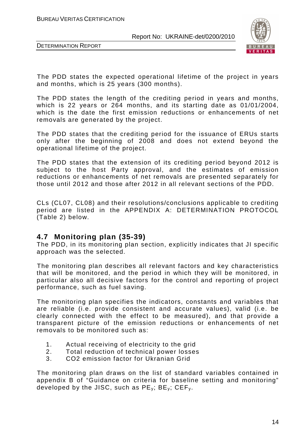



The PDD states the expected operational lifetime of the project in years and months, which is 25 years (300 months).

The PDD states the length of the crediting period in years and months, which is 22 years or 264 months, and its starting date as 01/01/2004, which is the date the first emission reductions or enhancements of net removals are generated by the project.

The PDD states that the crediting period for the issuance of ERUs starts only after the beginning of 2008 and does not extend beyond the operational lifetime of the project.

The PDD states that the extension of its crediting period beyond 2012 is subject to the host Party approval, and the estimates of emission reductions or enhancements of net removals are presented separately for those until 2012 and those after 2012 in all relevant sections of the PDD.

CLs (CL07, CL08) and their resolutions/conclusions applicable to crediting period are listed in the APPENDIX A: DETERMINATION PROTOCOL (Table 2) below.

## **4.7 Monitoring plan (35-39)**

The PDD, in its monitoring plan section, explicitly indicates that JI specific approach was the selected.

The monitoring plan describes all relevant factors and key characteristics that will be monitored, and the period in which they will be monitored, in particular also all decisive factors for the control and reporting of project performance, such as fuel saving.

The monitoring plan specifies the indicators, constants and variables that are reliable (i.e. provide consistent and accurate values), valid (i.e. be clearly connected with the effect to be measured), and that provide a transparent picture of the emission reductions or enhancements of net removals to be monitored such as:

- 1. Actual receiving of electricity to the grid
- 2. Total reduction of technical power losses
- 3. CO2 emission factor for Ukranian Grid

The monitoring plan draws on the list of standard variables contained in appendix B of "Guidance on criteria for baseline setting and monitoring" developed by the JISC, such as  $PE_v$ ;  $BE_v$ ;  $CEF_v$ .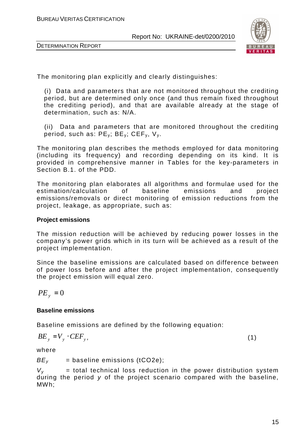



The monitoring plan explicitly and clearly distinguishes:

(i) Data and parameters that are not monitored throughout the crediting period, but are determined only once (and thus remain fixed throughout the crediting period), and that are available already at the stage of determination, such as: N/A.

(ii) Data and parameters that are monitored throughout the crediting period, such as:  $PE_v$ ;  $BE_v$ ;  $CEF_v$ ,  $V_v$ .

The monitoring plan describes the methods employed for data monitoring (including its frequency) and recording depending on its kind. It is provided in comprehensive manner in Tables for the key-parameters in Section B.1. of the PDD.

The monitoring plan elaborates all algorithms and formulae used for the estimation/calculation of baseline emissions and project emissions/removals or direct monitoring of emission reductions from the project, leakage, as appropriate, such as:

#### **Project emissions**

The mission reduction will be achieved by reducing power losses in the company's power grids which in its turn will be achieved as a result of the project implementation.

Since the baseline emissions are calculated based on difference between of power loss before and after the project implementation, consequently the project emission will equal zero.

$$
PE_{y} = 0
$$

#### **Baseline emissions**

Baseline emissions are defined by the following equation:

$$
BE_y = V_y \cdot CEF_y, \tag{1}
$$

where

 $BE<sub>v</sub>$  = baseline emissions (tCO2e);

 $V_v$  = total technical loss reduction in the power distribution system during the period y of the project scenario compared with the baseline, MWh;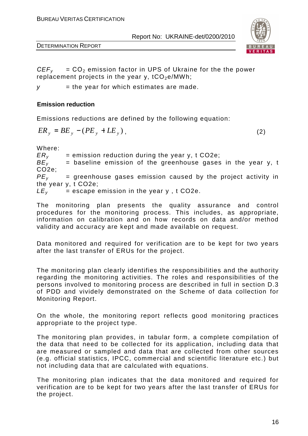

DETERMINATION REPORT

 $CEF<sub>v</sub> = CO<sub>2</sub>$  emission factor in UPS of Ukraine for the the power replacement projects in the year y,  $tCO<sub>2</sub>e/MWh$ ;

 $y =$  the year for which estimates are made.

#### **Emission reduction**

Emissions reductions are defined by the following equation:

$$
ER_y = BE_y - (PE_y + LE_y), \qquad (2)
$$

Where:

 $ER_y$  = emission reduction during the year y, t CO2e;<br> $BE_y$  = baseline emission of the greenhouse gases  $=$  baseline emission of the greenhouse gases in the year y, t CO2e;  $PE<sub>v</sub>$  = greenhouse gases emission caused by the project activity in the year y, t CO2e;  $LE<sub>v</sub>$  = escape emission in the year y, t CO2e.

The monitoring plan presents the quality assurance and control procedures for the monitoring process. This includes, as appropriate, information on calibration and on how records on data and/or method validity and accuracy are kept and made available on request.

Data monitored and required for verification are to be kept for two years after the last transfer of ERUs for the project.

The monitoring plan clearly identifies the responsibilities and the authority regarding the monitoring activities. The roles and responsibilities of the persons involved to monitoring process are described in full in section D.3 of PDD and vividely demonstrated on the Scheme of data collection for Monitoring Report.

On the whole, the monitoring report reflects good monitoring practices appropriate to the project type.

The monitoring plan provides, in tabular form, a complete compilation of the data that need to be collected for its application, including data that are measured or sampled and data that are collected from other sources (e.g. official statistics, IPCC, commercial and scientific literature etc.) but not including data that are calculated with equations.

The monitoring plan indicates that the data monitored and required for verification are to be kept for two years after the last transfer of ERUs for the project.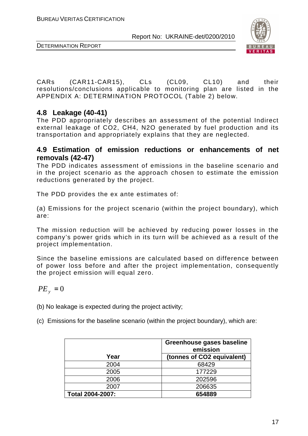



CARs (CAR11-CAR15), CLs (CL09, CL10) and their resolutions/conclusions applicable to monitoring plan are listed in the APPENDIX A: DETERMINATION PROTOCOL (Table 2) below.

# **4.8 Leakage (40-41)**

The PDD appropriately describes an assessment of the potential Indirect external leakage of CO2, СН4, N2O generated by fuel production and its transportation and appropriately explains that they are neglected.

### **4.9 Estimation of emission reductions or enhancements of net removals (42-47)**

The PDD indicates assessment of emissions in the baseline scenario and in the project scenario as the approach chosen to estimate the emission reductions generated by the project.

The PDD provides the ex ante estimates of:

(a) Emissions for the project scenario (within the project boundary), which are:

The mission reduction will be achieved by reducing power losses in the company's power grids which in its turn will be achieved as a result of the project implementation.

Since the baseline emissions are calculated based on difference between of power loss before and after the project implementation, consequently the project emission will equal zero.

$$
PE_{y} = 0
$$

(b) No leakage is expected during the project activity;

(c) Emissions for the baseline scenario (within the project boundary), which are:

|                         | Greenhouse gases baseline<br>emission |
|-------------------------|---------------------------------------|
| Year                    | (tonnes of CO2 equivalent)            |
| 2004                    | 68429                                 |
| 2005                    | 177229                                |
| 2006                    | 202596                                |
| 2007                    | 206635                                |
| <b>Total 2004-2007:</b> | 654889                                |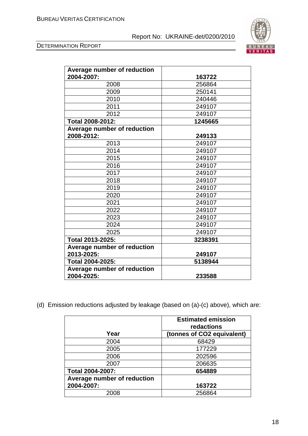



| Average number of reduction<br>2004-2007: | 163722  |
|-------------------------------------------|---------|
| 2008                                      | 256864  |
| 2009                                      | 250141  |
| 2010                                      | 240446  |
| 2011                                      | 249107  |
| 2012                                      | 249107  |
| <b>Total 2008-2012:</b>                   | 1245665 |
| Average number of reduction               |         |
| 2008-2012:                                | 249133  |
| 2013                                      | 249107  |
| 2014                                      | 249107  |
| 2015                                      | 249107  |
| 2016                                      | 249107  |
| 2017                                      | 249107  |
| 2018                                      | 249107  |
| 2019                                      | 249107  |
| 2020                                      | 249107  |
| 2021                                      | 249107  |
| 2022                                      | 249107  |
| 2023                                      | 249107  |
| 2024                                      | 249107  |
| 2025                                      | 249107  |
| Total 2013-2025:                          | 3238391 |
| Average number of reduction               |         |
| 2013-2025:                                | 249107  |
| Total 2004-2025:                          | 5138944 |
| Average number of reduction               |         |
| 2004-2025:                                | 233588  |

(d) Emission reductions adjusted by leakage (based on (a)-(c) above), which are:

|                             | <b>Estimated emission</b><br>redactions |
|-----------------------------|-----------------------------------------|
| Year                        | (tonnes of CO2 equivalent)              |
| 2004                        | 68429                                   |
| 2005                        | 177229                                  |
| 2006                        | 202596                                  |
| 2007                        | 206635                                  |
| <b>Total 2004-2007:</b>     | 654889                                  |
| Average number of reduction |                                         |
| 2004-2007:                  | 163722                                  |
| 2008                        | 256864                                  |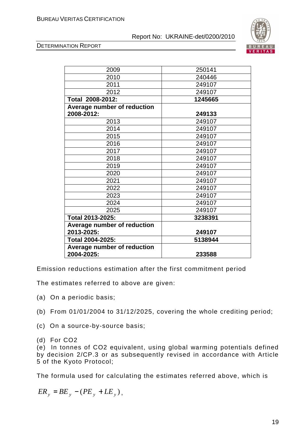DETERMINATION REPORT



Emission reductions estimation after the first commitment period

The estimates referred to above are given:

- (a) On a periodic basis;
- (b) From 01/01/2004 to 31/12/2025, covering the whole crediting period;
- (c) On a source-by-source basis;
- (d) For CO2

(e) In tonnes of CO2 equivalent, using global warming potentials defined by decision 2/CP.3 or as subsequently revised in accordance with Article 5 of the Kyoto Protocol;

The formula used for calculating the estimates referred above, which is

$$
ER_y = BE_y - (PE_y + LE_y),
$$

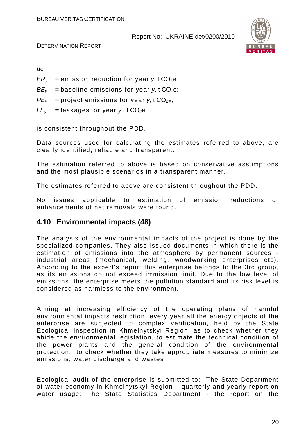

DETERMINATION REPORT

де

 $ER<sub>v</sub>$  = emission reduction for year y, t CO<sub>2</sub>e;

 $BE<sub>v</sub>$  = baseline emissions for year y, t CO<sub>2</sub>e;

 $PE<sub>v</sub>$  = project emissions for year y, t CO<sub>2</sub>e;

 $LE<sub>v</sub>$  = leakages for year y, t CO<sub>2</sub>e

is consistent throughout the PDD.

Data sources used for calculating the estimates referred to above, are clearly identified, reliable and transparent.

The estimation referred to above is based on conservative assumptions and the most plausible scenarios in a transparent manner.

The estimates referred to above are consistent throughout the PDD.

No issues applicable to estimation of emission reductions or enhancements of net removals were found.

## **4.10 Environmental impacts (48)**

The analysis of the environmental impacts of the project is done by the specialized companies. They also issued documents in which there is the estimation of emissions into the atmosphere by permanent sources industrial areas (mechanical, welding, woodworking enterprises etc). According to the expert's report this enterprise belongs to the 3rd group, as its emissions do not exceed immission limit. Due to the low level of emissions, the enterprise meets the pollution standard and its risk level is considered as harmless to the environment.

Aiming at increasing efficiency of the operating plans of harmful environmental impacts restriction, every year all the energy objects of the enterprise are subjected to complex verification, held by the State Ecological Inspection in Khmelnytskyi Region, as to check whether they abide the environmental legislation, to estimate the technical condition of the power plants and the general condition of the environmental protection, to check whether they take appropriate measures to minimize emissions, water discharge and wastes

Ecological audit of the enterprise is submitted to: The State Department of water economy in Khmelnytskyi Region – quarterly and yearly report on water usage; The State Statistics Department - the report on the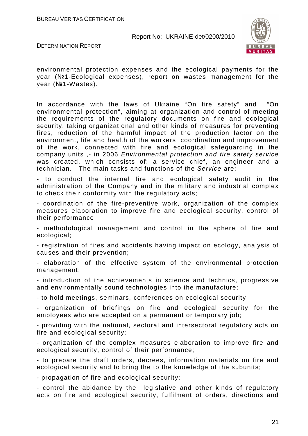

DETERMINATION REPORT

environmental protection expenses and the ecological payments for the year (№1-Ecological expenses), report on wastes management for the year (№1-Wastes).

In accordance with the laws of Ukraine "On fire safety" and "On environmental protection", aiming at organization and control of meeting the requirements of the regulatory documents on fire and ecological security, taking organizational and other kinds of measures for preventing fires, reduction of the harmful impact of the production factor on the environment, life and health of the workers; coordination and improvement of the work, connected with fire and ecological safeguarding in the company units ,- in 2006 Environmental protection and fire safety service was created, which consists of: a service chief, an engineer and a technician. The main tasks and functions of the Service are:

- to conduct the internal fire and ecological safety audit in the administration of the Company and in the military and industrial complex to check their conformity with the regulatory acts;

- coordination of the fire-preventive work, organization of the complex measures elaboration to improve fire and ecological security, control of their performance;

- methodological management and control in the sphere of fire and ecological;

- registration of fires and accidents having impact on ecology, analysis of causes and their prevention;

- elaboration of the effective system of the environmental protection management;

- introduction of the achievements in science and technics, progressive and environmentally sound technologies into the manufacture;

- to hold meetings, seminars, conferences on ecological security;

- organization of briefings on fire and ecological security for the employees who are accepted on a permanent or temporary job;

- providing with the national, sectoral and intersectoral regulatory acts on fire and ecological security;

- organization of the complex measures elaboration to improve fire and ecological security, control of their performance;

- to prepare the draft orders, decrees, information materials on fire and ecological security and to bring the to the knowledge of the subunits;

- propagation of fire and ecological security;

- control the abidance by the legislative and other kinds of regulatory acts on fire and ecological security, fulfilment of orders, directions and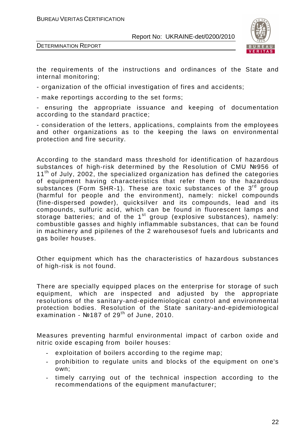

DETERMINATION REPORT

the requirements of the instructions and ordinances of the State and internal monitoring;

- organization of the official investigation of fires and accidents;

- make reportings according to the set forms;

- ensuring the appropriate issuance and keeping of documentation according to the standard practice;

- consideration of the letters, applications, complaints from the employees and other organizations as to the keeping the laws on environmental protection and fire security.

According to the standard mass threshold for identification of hazardous substances of high-risk determined by the Resolution of CMU №956 of  $11<sup>th</sup>$  of July, 2002, the specialized organization has defined the categories of equipment having characteristics that refer them to the hazardous substances (Form SHR-1). These are toxic substances of the  $3<sup>rd</sup>$  group (harmful for people and the environment), namely: nickel compounds (fine-dispersed powder), quicksilver and its compounds, lead and its compounds, sulfuric acid, which can be found in fluorescent lamps and storage batteries; and of the  $1<sup>st</sup>$  group (explosive substances), namely: combustible gasses and highly inflammable substances, that can be found in machinery and pipilenes of the 2 warehousesof fuels and lubricants and gas boiler houses.

Other equipment which has the characteristics of hazardous substances of high-risk is not found.

There are specially equipped places on the enterprise for storage of such equipment, which are inspected and adjusted by the appropriate resolutions of the sanitary-and-epidemiological control and environmental protection bodies. Resolution of the State sanitary-and-epidemiological examination -  $N$ 2187 of 29<sup>th</sup> of June, 2010.

Measures preventing harmful environmental impact of carbon oxide and nitric oxide escaping from boiler houses:

- exploitation of boilers according to the regime map;
- prohibition to regulate units and blocks of the equipment on one's own;
- timely carrying out of the technical inspection according to the recommendations of the equipment manufacturer;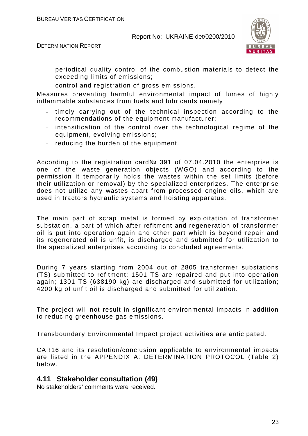



- periodical quality control of the combustion materials to detect the exceeding limits of emissions;
- control and registration of gross emissions.

Measures preventing harmful environmental impact of fumes of highly inflammable substances from fuels and lubricants namely :

- timely carrying out of the technical inspection according to the recommendations of the equipment manufacturer;
- intensification of the control over the technological regime of the equipment, evolving emissions;
- reducing the burden of the equipment.

According to the registration card№ 391 of 07.04.2010 the enterprise is one of the waste generation objects (WGO) and according to the permission it temporarily holds the wastes within the set limits (before their utilization or removal) by the specialized enterprizes. The enterprise does not utilize any wastes apart from processed engine oils, which are used in tractors hydraulic systems and hoisting apparatus.

The main part of scrap metal is formed by exploitation of transformer substation, a part of which after refitment and regeneration of transformer oil is put into operation again and other part which is beyond repair and its regenerated oil is unfit, is discharged and submitted for utilization to the specialized enterprises according to concluded agreements.

During 7 years starting from 2004 out of 2805 transformer substations (TS) submitted to refitment: 1501 TS are repaired and put into operation again; 1301 TS (638190 kg) are discharged and submitted for utilization; 4200 kg of unfit oil is discharged and submitted for utilization.

The project will not result in significant environmental impacts in addition to reducing greenhouse gas emissions.

Transboundary Environmental Impact project activities are anticipated.

CAR16 and its resolution/conclusion applicable to environmental impacts are listed in the APPENDIX A: DETERMINATION PROTOCOL (Table 2) below.

## **4.11 Stakeholder consultation (49)**

No stakeholders' comments were received.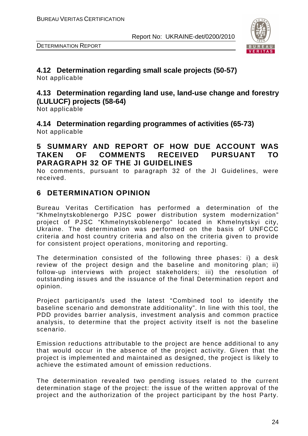

DETERMINATION REPORT

### **4.12 Determination regarding small scale projects (50-57)**  Not applicable

## **4.13 Determination regarding land use, land-use change and forestry (LULUCF) projects (58-64)**

Not applicable

**4.14 Determination regarding programmes of activities (65-73)**  Not applicable

## **5 SUMMARY AND REPORT OF HOW DUE ACCOUNT WAS TAKEN OF COMMENTS RECEIVED PURSUANT TO PARAGRAPH 32 OF THE JI GUIDELINES**

No comments, pursuant to paragraph 32 of the JI Guidelines, were received.

# **6 DETERMINATION OPINION**

Bureau Veritas Certification has performed a determination of the "Khmelnytskoblenergo PJSC power distribution system modernization" project of PJSC "Khmelnytskoblenergo" located in Khmelnytskyi city, Ukraine. The determination was performed on the basis of UNFCCC criteria and host country criteria and also on the criteria given to provide for consistent project operations, monitoring and reporting.

The determination consisted of the following three phases: i) a desk review of the project design and the baseline and monitoring plan; ii) follow-up interviews with project stakeholders; iii) the resolution of outstanding issues and the issuance of the final Determination report and opinion.

Project participant/s used the latest "Combined tool to identify the baseline scenario and demonstrate additionality". In line with this tool, the PDD provides barrier analysis, investment analysis and common practice analysis, to determine that the project activity itself is not the baseline scenario.

Emission reductions attributable to the project are hence additional to any that would occur in the absence of the project activity. Given that the project is implemented and maintained as designed, the project is likely to achieve the estimated amount of emission reductions.

The determination revealed two pending issues related to the current determination stage of the project: the issue of the written approval of the project and the authorization of the project participant by the host Party.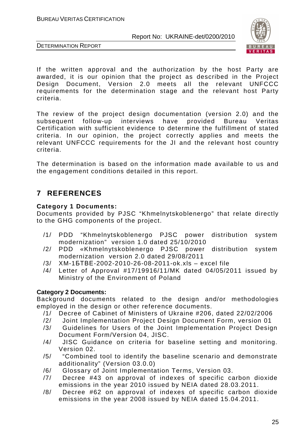

DETERMINATION REPORT

If the written approval and the authorization by the host Party are awarded, it is our opinion that the project as described in the Project Design Document, Version 2.0 meets all the relevant UNFCCC requirements for the determination stage and the relevant host Party criteria.

The review of the project design documentation (version 2.0) and the subsequent follow-up interviews have provided Bureau Veritas Certification with sufficient evidence to determine the fulfillment of stated criteria. In our opinion, the project correctly applies and meets the relevant UNFCCC requirements for the JI and the relevant host country criteria.

The determination is based on the information made available to us and the engagement conditions detailed in this report.

# **7 REFERENCES**

#### **Category 1 Documents:**

Documents provided by PJSC "Khmelnytskoblenergo" that relate directly to the GHG components of the project.

- /1/ PDD "Khmelnytskoblenergo PJSC power distribution system modernization" version 1.0 dated 25/10/2010
- /2/ PDD «Khmelnytskoblenergo PJSC power distribution system modernization version 2.0 dated 29/08/2011
- /3/ XM-1БТВЕ-2002-2010-26-08-2011-ok.xls excel file
- /4/ Letter of Approval #17/19916/11/MK dated 04/05/2011 issued by Ministry of the Environment of Poland

#### **Category 2 Documents:**

Background documents related to the design and/or methodologies employed in the design or other reference documents.

- /1/ Decree of Cabinet of Ministers of Ukraine #206, dated 22/02/2006
- /2/ Joint Implementation Project Design Document Form, version 01
- /3/ Guidelines for Users of the Joint Implementation Project Design Document Form/Version 04, JISC.
- /4/ JISC Guidance on criteria for baseline setting and monitoring. Version 02.
- /5/ "Combined tool to identify the baseline scenario and demonstrate additionality" (Version 03.0.0)
- /6/ Glossary of Joint Implementation Terms, Version 03.
- /7/ Decree #43 on approval of indexes of specific carbon dioxide emissions in the year 2010 issued by NEIA dated 28.03.2011.
- /8/ Decree #62 on approval of indexes of specific carbon dioxide emissions in the year 2008 issued by NEIA dated 15.04.2011.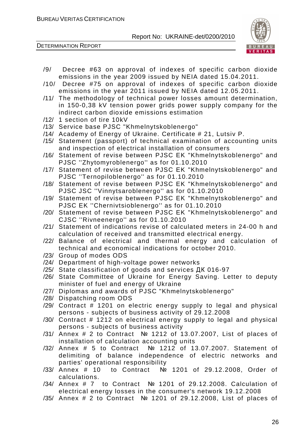

- /9/ Decree #63 on approval of indexes of specific carbon dioxide emissions in the year 2009 issued by NEIA dated 15.04.2011.
- /10/ Decree #75 on approval of indexes of specific carbon dioxide emissions in the year 2011 issued by NEIA dated 12.05.2011.
- /11/ The methodology of technical power losses amount determination, in 150-0,38 kV tension power grids power supply company for the indirect carbon dioxide emissions estimation
- /12/ 1 section of tire 10kV
- /13/ Service base PJSC "Khmelnytskoblenergo"
- /14/ Academy of Energy of Ukraine. Certificate # 21, Lutsiv P.
- /15/ Statement (passport) of technical examination of accounting units and inspection of electrical installation of consumers
- /16/ Statement of revise between PJSC EK "Khmelnytskoblenergo" and PJSC ''Zhytomyroblenergo'' as for 01.10.2010
- /17/ Statement of revise between PJSC EK "Khmelnytskoblenergo" and PJSC ''Ternopiloblenergo'' as for 01.10.2010
- /18/ Statement of revise between PJSC EK "Khmelnytskoblenergo" and PJSC JSC ''Vinnytsaroblenergo'' as for 01.10.2010
- /19/ Statement of revise between PJSC EK "Khmelnytskoblenergo" and PJSC EK ''Chernivtsioblenergo'' as for 01.10.2010
- /20/ Statement of revise between PJSC EK "Khmelnytskoblenergo" and CJSC ''Rivneenergo'' as for 01.10.2010
- /21/ Statement of indications revise of calculated meters in 24-00 h and calculation of received and transmitted electrical energy.
- /22/ Balance of electrical and thermal energy and calculation of technical and economical indications for october 2010.
- /23/ Group of modes ODS
- /24/ Department of high-voltage power networks
- /25/ State classification of goods and services ДК 016-97
- /26/ State Committee of Ukraine for Energy Saving. Letter to deputy minister of fuel and energy of Ukraine
- /27/ Diplomas and awards of PJSC "Khmelnytskoblenergo"
- /28/ Dispatching room ODS
- /29/ Contract # 1201 on electric energy supply to legal and physical persons - subjects of business activity of 29.12.2008
- /30/ Contract # 1212 on electrical energy supply to legal and physical persons - subjects of business activity
- /31/ Annex # 2 to Contract № 1212 of 13.07.2007, List of places of installation of calculation accounting units
- /32/ Annex # 5 to Contract № 1212 of 13.07.2007. Statement of delimiting of balance independence of electric networks and parties' operational responsibility
- /33/ Annex # 10 to Contract № 1201 of 29.12.2008, Order of calculations.
- /34/ Annex # 7 to Contract № 1201 of 29.12.2008. Calculation of electrical energy losses in the consumer's network 19.12.2008
- /35/ Annex # 2 to Contract № 1201 of 29.12.2008, List of places of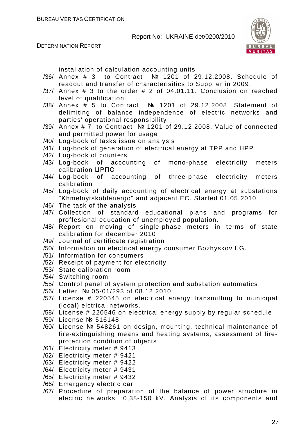DETERMINATION REPORT



installation of calculation accounting units

- /36/ Annex # 3 to Contract № 1201 of 29.12.2008. Schedule of readout and transfer of characterisitics to Supplier in 2009.
- /37/ Annex # 3 to the order # 2 of 04.01.11. Conclusion on reached level of qualification
- /38/ Annex # 5 to Contract № 1201 of 29.12.2008. Statement of delimiting of balance independence of electric networks and parties' operational responsibility
- /39/ Annex # 7 to Contract № 1201 of 29.12.2008, Value of connected and permitted power for usage
- /40/ Log-book of tasks issue on analysis
- /41/ Log-book of generation of electrical energy at TPP and HPP
- /42/ Log-book of counters
- /43/ Log-book of accounting of mono-phase electricity meters calibration ЦРПО
- /44/ Log-book of accounting of three-phase electricity meters calibration
- /45/ Log-book of daily accounting of electrical energy at substations "Khmelnytskoblenergo" and adjacent EC. Started 01.05.2010
- /46/ The task of the analysis
- /47/ Collection of standard educational plans and programs for proffesional education of unemployed population.
- /48/ Report on moving of single-phase meters in terms of state calibration for december 2010
- /49/ Journal of certificate registration
- /50/ Information on electrical energy consumer Bozhyskov I.G.
- /51/ Information for consumers
- /52/ Receipt of payment for electricity
- /53/ State calibration room
- /54/ Switching room
- /55/ Control panel of system protection and substation automatics
- /56/ Letter № 05-01/293 of 08.12.2010
- /57/ License # 220545 on electrical energy transmitting to municipal (local) elctrical networks.
- /58/ License # 220546 on electrical energy supply by regular schedule
- /59/ License № 516148
- /60/ License № 548261 on design, mounting, technical maintenance of fire-extinguishing means and heating systems, assessment of fireprotection condition of objects
- /61/ Electricity meter # 9413
- /62/ Electricity meter # 9421
- /63/ Electricity meter # 9422
- /64/ Electricity meter # 9431
- /65/ Electricity meter # 9432
- /66/ Emergency electric car
- /67/ Procedure of preparation of the balance of power structure in electric networks 0,38-150 kV. Analysis of its components and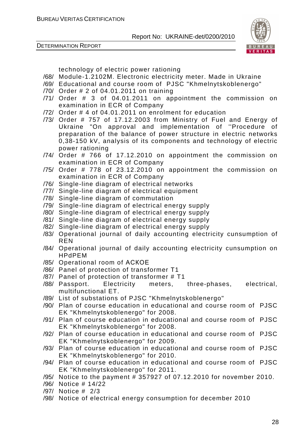DETERMINATION REPORT



technology of electric power rationing

- /68/ Module-1.2102М. Electronic electricity meter. Made in Ukraine
- /69/ Educational and course room of PJSC "Khmelnytskoblenergo"
- /70/ Order # 2 of 04.01.2011 on training
- /71/ Order # 3 of 04.01.2011 on appointment the commission on examination in ECR of Company
- /72/ Order # 4 of 04.01.2011 on enrolment for education
- /73/ Order # 757 of 17.12.2003 from Ministry of Fuel and Energy of Ukraine "On approval and implementation of ''Procedure of preparation of the balance of power structure in electric networks 0,38-150 kV, analysis of its components and technology of electric power rationing
- /74/ Order # 766 of 17.12.2010 on appointment the commission on examination in ECR of Company
- /75/ Order # 778 of 23.12.2010 on appointment the commission on examination in ECR of Company
- /76/ Single-line diagram of electrical networks
- /77/ Single-line diagram of electrical equipment
- /78/ Single-line diagram of commutation
- /79/ Single-line diagram of electrical energy supply
- /80/ Single-line diagram of electrical energy supply
- /81/ Single-line diagram of electrical energy supply
- /82/ Single-line diagram of electrical energy supply
- /83/ Operational journal of daily accounting electricity cunsumption of REN
- /84/ Operational journal of daily accounting electricity cunsumption on HPdPEM
- /85/ Operational room of АСКОЕ
- /86/ Panel of protection of transformer T1
- /87/ Panel of protection of transformer # T1
- /88/ Passport. Electricity meters, three-phases, electrical, multifunctional ET.
- /89/ List of substations of PJSC "Khmelnytskoblenergo"
- /90/ Plan of course education in educational and course room of PJSC EK "Khmelnytskoblenergo" for 2008.
- /91/ Plan of course education in educational and course room of PJSC EK "Khmelnytskoblenergo" for 2008.
- /92/ Plan of course education in educational and course room of PJSC EK "Khmelnytskoblenergo" for 2009.
- /93/ Plan of course education in educational and course room of PJSC EK "Khmelnytskoblenergo" for 2010.
- /94/ Plan of course education in educational and course room of PJSC EK "Khmelnytskoblenergo" for 2011.
- /95/ Notice to the payment # 357927 of 07.12.2010 for november 2010.
- /96/ Notice # 14/22
- /97/ Notice # 2/3
- /98/ Notice of electrical energy consumption for december 2010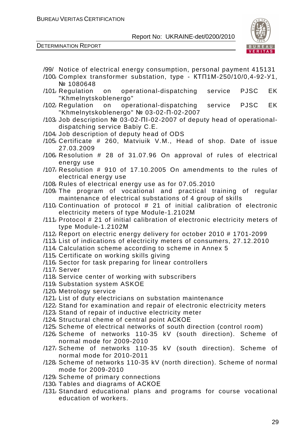

- /99/ Notice of electrical energy consumption, personal payment 415131
- /100/ Complex transformer substation, type КТП1М-250/10/0,4-92-У1, № 1080648
- /101/ Regulation on operational-dispatching service PJSC EK "Khmelnytskoblenergo"
- /102/ Regulation on operational-dispatching service PJSC EK "Khmelnytskoblenergo" № 03-02-П-02-2007
- /103/ Job description № 03-02-ПІ-02-2007 of deputy head of operationaldispatching service Babiy C.E.
- /104/ Job description of deputy head of ODS
- /105/ Certificate # 260, Matviuik V.M., Head of shop. Date of issue 27.03.2009
- /106/ Resolution # 28 of 31.07.96 On approval of rules of electrical energy use
- /107/ Resolution # 910 of 17.10.2005 On amendments to the rules of electrical energy use
- /108/ Rules of electrical energy use as for 07.05.2010
- /109/ The program of vocational and practical training of regular maintenance of electrical substations of 4 group of skills
- /110/ Continuation of protocol # 21 of initial calibration of electronic electricity meters of type Module-1.2102М
- /111/ Protocol # 21 of initial calibration of electronic electricity meters of type Module-1.2102М
- /112/ Report on electric energy delivery for october 2010 # 1701-2099
- /113/ List of indications of electricity meters of consumers, 27.12.2010
- /114/ Calculation scheme according to scheme in Annex 5
- /115/ Certificate on working skills giving
- /116/ Sector for task preparing for linear controllers
- /117/ Server
- /118/ Service center of working with subscribers
- /119/ Substation system ASKOE
- /120/ Metrology service
- /121/ List of duty electricians on substation maintenance
- /122/ Stand for examination and repair of electronic electricity meters
- /123/ Stand of repair of inductive electricity meter
- /124/ Structural cheme of central point АСКОЕ
- /125/ Scheme of electrical networks of south direction (control room)
- /126/ Scheme of networks 110-35 kV (south direction). Scheme of normal mode for 2009-2010
- /127/ Scheme of networks 110-35 kV (south direction). Scheme of normal mode for 2010-2011
- /128/ Scheme of networks 110-35 kV (north direction). Scheme of normal mode for 2009-2010
- /129/ Scheme of primary connections
- /130/ Tables and diagrams of АСКОЕ
- /131/ Standard educational plans and programs for course vocational education of workers.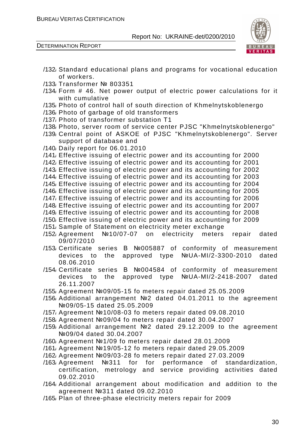

- /132/ Standard educational plans and programs for vocational education of workers. /133/ Transformer № 803351 /134/ Form # 46. Net power output of electric power calculations for it with cumulative /135/ Photo of control hall of south direction of Khmelnytskoblenergo /136/ Photo of garbage of old transformers /137/ Photo of transformer substation T1
- /138/ Photo, server room of service center PJSC "Khmelnytskoblenergo"
- /139/ Central point of АSKOE of PJSC "Khmelnytskoblenergo". Server support of database and
- /140/ Daily report for 06.01.2010
- /141/ Effective issuing of electric power and its accounting for 2000
- /142/ Effective issuing of electric power and its accounting for 2001
- /143/ Effective issuing of electric power and its accounting for 2002
- /144/ Effective issuing of electric power and its accounting for 2003
- /145/ Effective issuing of electric power and its accounting for 2004
- /146/ Effective issuing of electric power and its accounting for 2005
- /147/ Effective issuing of electric power and its accounting for 2006
- /148/ Effective issuing of electric power and its accounting for 2007 /149/ Effective issuing of electric power and its accounting for 2008
- /150/ Effective issuing of electric power and its accounting for 2009
- /151/ Sample of Statement on electricity meter exchange
- /152/ Agreement №10/07-07 on electricity meters repair dated 09/07/2010
- /153/ Certificate series В №005887 of conformity of measurement devices to the approved type №UA-MI/2-3300-2010 dated 08.06.2010
- /154/ Certificate series В №004584 of conformity of measurement devices to the approved type №UA-MI/2-2418-2007 dated 26.11.2007
- /155/ Agreement №09/05-15 fo meters repair dated 25.05.2009
- /156/ Additional arrangement №2 dated 04.01.2011 to the agreement №09/05-15 dated 25.05.2009
- /157/ Agreement №10/08-03 fo meters repair dated 09.08.2010
- /158/ Agreement №09/04 fo meters repair dated 30.04.2007
- /159/ Additional arrangement №2 dated 29.12.2009 to the agreement №09/04 dated 30.04.2007
- /160/ Agreement №1/09 fo meters repair dated 28.01.2009
- /161/ Agreement №19/05-12 fo meters repair dated 29.05.2009
- /162/ Agreement №09/03-28 fo meters repair dated 27.03.2009
- /163/ Agreement №311 for for performance of standardization, certification, metrology and service providing activities dated 09.02.2010
- /164/ Additional arrangement about modification and addition to the agreement №311 dated 09.02.2010
- /165/ Plan of three-phase electricity meters repair for 2009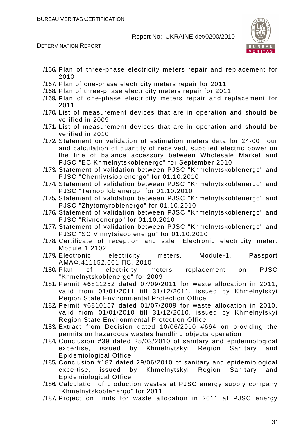

| 2010<br>/167/ Plan of one-phase electricity meters repair for 2011                                                                                                                                         |
|------------------------------------------------------------------------------------------------------------------------------------------------------------------------------------------------------------|
| /168 Plan of three-phase electricity meters repair for 2011                                                                                                                                                |
| /169, Plan of one-phase electricity meters repair and replacement for<br>2011                                                                                                                              |
| /170, List of measurement devices that are in operation and should be<br>verified in 2009                                                                                                                  |
| /171, List of measurement devices that are in operation and should be<br>verified in 2010                                                                                                                  |
| /172 Statement on validation of estimation meters data for 24-00 hour<br>and calculation of quantity of received, supplied electric power on<br>the line of balance accessory between Wholesale Market and |
| PJSC "EC Khmelnytskoblenergo" for September 2010                                                                                                                                                           |
| /173/ Statement of validation between PJSC "Khmelnytskoblenergo" and<br>PJSC "Chernivtsioblenergo" for 01.10.2010                                                                                          |
| /174 Statement of validation between PJSC "Khmelnytskoblenergo" and<br>PJSC "Ternopiloblenergo" for 01.10.2010                                                                                             |
| /175 Statement of validation between PJSC "Khmelnytskoblenergo" and                                                                                                                                        |
| PJSC "Zhytomyroblenergo" for 01.10.2010<br>/176 Statement of validation between PJSC "Khmelnytskoblenergo" and                                                                                             |
| PJSC "Rivneenergo" for 01.10.2010                                                                                                                                                                          |
| /177/ Statement of validation between PJSC "Khmelnytskoblenergo" and<br>PJSC "SC Vinnytsiaoblenergo" for 01.10.2010                                                                                        |
| /178 Certificate of reception and sale. Electronic electricity meter.<br><b>Module 1.2102</b>                                                                                                              |
| /179 Electronic electricity meters. Module-1.<br>Passport                                                                                                                                                  |
| AMAΦ.411152.001 ΠC. 2010<br>/180/ Plan of electricity meters<br><b>PJSC</b><br>replacement<br>on                                                                                                           |
|                                                                                                                                                                                                            |
| "Khmelnytskoblenergo" for 2009                                                                                                                                                                             |
| /181/ Permit #6811252 dated 07/09/2011 for waste allocation in 2011,<br>valid from 01/01/2011 till 31/12/2011, issued by Khmelnytskyi                                                                      |
| Region State Environmental Protection Office<br>/182 Permit #6810157 dated 01/07/2009 for waste allocation in 2010,                                                                                        |
| valid from 01/01/2010 till 31/12/2010, issued by Khmelnytskyi                                                                                                                                              |
| <b>Region State Environmental Protection Office</b><br>/183/ Extract from Decision dated 10/06/2010 #664 on providing the                                                                                  |
| permits on hazardous wastes handling objects operation                                                                                                                                                     |
| /184 Conclusion #39 dated 25/03/2010 of sanitary and epidemiological<br>expertise, issued by Khmelnytskyi Region Sanitary<br>and                                                                           |
| Epidemiological Office<br>/185/ Conclusion #187 dated 29/06/2010 of sanitary and epidemiological<br>expertise, issued by Khmelnytskyi Region Sanitary<br>and                                               |
| <b>Epidemiological Office</b>                                                                                                                                                                              |
| /186 Calculation of production wastes at PJSC energy supply company                                                                                                                                        |
| "Khmelnytskoblenergo" for 2011<br>/187/ Project on limits for waste allocation in 2011 at PJSC energy                                                                                                      |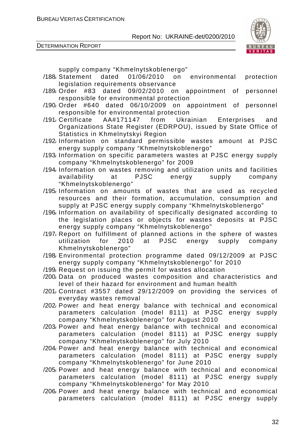

DETERMINATION REPORT

supply company "Khmelnytskoblenergo"

- /188/ Statement dated 01/06/2010 on environmental protection legislation requirements observance
- /189/ Order #83 dated 09/02/2010 on appointment of personnel responsible for environmental protection
- /190/ Order #640 dated 06/10/2009 on appointment of personnel responsible for environmental protection
- /191/ Certificate AA#171147 from Ukrainian Enterprises and Organizations State Register (EDRPOU), issued by State Office of Statistics in Khmelnytskyi Region
- /192/ Information on standard permissible wastes amount at PJSC energy supply company "Khmelnytskoblenergo"
- /193/ Information on specific parameters wastes at PJSC energy supply company "Khmelnytskoblenergo" for 2009
- /194/ Information on wastes removing and utilization units and facilities availability at PJSC energy supply company "Khmelnytskoblenergo"
- /195/ Information on amounts of wastes that are used as recycled resources and their formation, accumulation, consumption and supply at PJSC energy supply company "Khmelnytskoblenergo"
- /196/ Information on availability of specifically designated according to the legislation places or objects for wastes deposits at PJSC energy supply company "Khmelnytskoblenergo"
- /197/ Report on fulfillment of planned actions in the sphere of wastes utilization for 2010 at PJSC energy supply company Khmelnytskoblenergo"
- /198/ Environmental protection programme dated 09/12/2009 at PJSC energy supply company "Khmelnytskoblenergo" for 2010
- /199/ Request on issuing the permit for wastes allocation
- /200/ Data on produced wastes composition and characteristics and level of their hazard for environment and human health
- /201/ Contract #3557 dated 29/12/2009 on providing the services of everyday wastes removal
- /202/ Power and heat energy balance with technical and economical parameters calculation (model 8111) at PJSC energy supply company "Khmelnytskoblenergo" for August 2010
- /203/ Power and heat energy balance with technical and economical parameters calculation (model 8111) at PJSC energy supply company "Khmelnytskoblenergo" for July 2010
- /204/ Power and heat energy balance with technical and economical parameters calculation (model 8111) at PJSC energy supply company "Khmelnytskoblenergo" for June 2010
- /205/ Power and heat energy balance with technical and economical parameters calculation (model 8111) at PJSC energy supply company "Khmelnytskoblenergo" for May 2010
- /206/ Power and heat energy balance with technical and economical parameters calculation (model 8111) at PJSC energy supply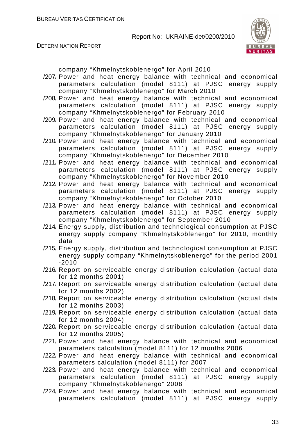

DETERMINATION REPORT

company "Khmelnytskoblenergo" for April 2010

- /207/ Power and heat energy balance with technical and economical parameters calculation (model 8111) at PJSC energy supply company "Khmelnytskoblenergo" for March 2010
- /208/ Power and heat energy balance with technical and economical parameters calculation (model 8111) at PJSC energy supply company "Khmelnytskoblenergo" for February 2010
- /209/ Power and heat energy balance with technical and economical parameters calculation (model 8111) at PJSC energy supply company "Khmelnytskoblenergo" for January 2010
- /210/ Power and heat energy balance with technical and economical parameters calculation (model 8111) at PJSC energy supply company "Khmelnytskoblenergo" for December 2010
- /211/ Power and heat energy balance with technical and economical parameters calculation (model 8111) at PJSC energy supply company "Khmelnytskoblenergo" for November 2010
- /212/ Power and heat energy balance with technical and economical parameters calculation (model 8111) at PJSC energy supply company "Khmelnytskoblenergo" for October 2010
- /213/ Power and heat energy balance with technical and economical parameters calculation (model 8111) at PJSC energy supply company "Khmelnytskoblenergo" for September 2010
- /214/ Energy supply, distribution and technological consumption at PJSC energy supply company "Khmelnytskoblenergo" for 2010, monthly data
- /215/ Energy supply, distribution and technological consumption at PJSC energy supply company "Khmelnytskoblenergo" for the period 2001 -2010
- /216/ Report on serviceable energy distribution calculation (actual data for 12 months 2001)
- /217/ Report on serviceable energy distribution calculation (actual data for 12 months 2002)
- /218/ Report on serviceable energy distribution calculation (actual data for 12 months 2003)
- /219/ Report on serviceable energy distribution calculation (actual data for 12 months 2004)
- /220/ Report on serviceable energy distribution calculation (actual data for 12 months 2005)
- /221/ Power and heat energy balance with technical and economical parameters calculation (model 8111) for 12 months 2006
- /222/ Power and heat energy balance with technical and economical parameters calculation (model 8111) for 2007
- /223/ Power and heat energy balance with technical and economical parameters calculation (model 8111) at PJSC energy supply company "Khmelnytskoblenergo" 2008
- /224/ Power and heat energy balance with technical and economical parameters calculation (model 8111) at PJSC energy supply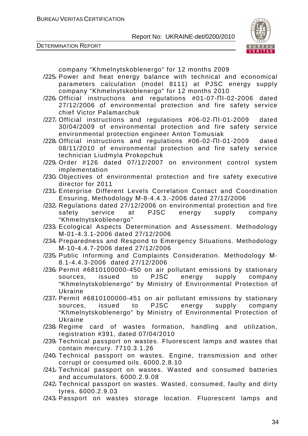



company "Khmelnytskoblenergo" for 12 months 2009

- /225/ Power and heat energy balance with technical and economical parameters calculation (model 8111) at PJSC energy supply company "Khmelnytskoblenergo" for 12 months 2010
- /226/ Official instructions and regulations #01-07-ПІ-02-2006 dated 27/12/2006 of environmental protection and fire safety service chief Victor Palamarchuk
- /227/ Official instructions and regulations #06-02-ПІ-01-2009 dated 30/04/2009 of environmental protection and fire safety service environmental protection engineer Anton Tomusiak
- /228/ Official instructions and regulations #06-02-ПІ-01-2009 dated 08/11/2010 of environmental protection and fire safety service technician Liudmyla Prokopchuk
- /229/ Order #126 dated 07/12/2007 on environment control system implementation
- /230/ Objectives of environmental protection and fire safety executive director for 2011
- /231/ Enterprise Different Levels Correlation Contact and Coordination Ensuring, Methodology М-8-4.4.3.-2006 dated 27/12/2006
- /232/ Regulations dated 27/12/2006 on environmental protection and fire safety service at PJSC energy supply company "Khmelnytskoblenergo"
- /233/ Ecological Aspects Determination and Assessment. Methodology М-01-4.3.1-2006 dated 27/12/2006
- /234/ Preparedness and Respond to Emergency Situations. Methodology М-10-4.4.7-2006 dated 27/12/2006
- /235/ Public Informing and Complaints Consideration. Methodology М-8.1-4.4.3-2006 dated 27/12/2006
- /236/ Permit #6810100000-450 on air pollutant emissions by stationary sources, issued to PJSC energy supply company "Khmelnytskoblenergo" by Ministry of Environmental Protection of Ukraine
- /237/ Permit #6810100000-451 on air pollutant emissions by stationary sources, issued to PJSC energy supply company "Khmelnytskoblenergo" by Ministry of Environmental Protection of Ukraine
- /238/ Regime card of wastes formation, handling and utilization, registration #391, dated 07/04/2010
- /239/ Technical passport on wastes. Fluorescent lamps and wastes that contain mercury. 7710.3.1.26
- /240/ Technical passport on wastes. Engine, transmission and other corrupt or consumed oils. 6000.2.8.10
- /241/ Technical passport on wastes. Wasted and consumed batteries and accumulators. 6000.2.9.08
- /242/ Technical passport on wastes. Wasted, consumed, faulty and dirty tyres. 6000.2.9.03
- /243/ Passport on wastes storage location. Fluorescent lamps and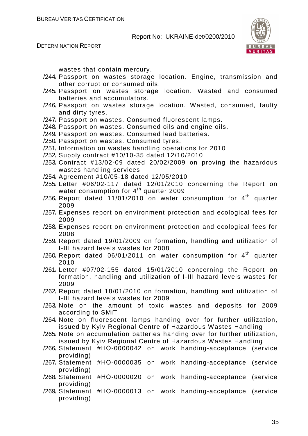DETERMINATION REPORT



wastes that contain mercury.

- /244/ Passport on wastes storage location. Engine, transmission and other corrupt or consumed oils.
- /245/ Passport on wastes storage location. Wasted and consumed batteries and accumulators.
- /246/ Passport on wastes storage location. Wasted, consumed, faulty and dirty tyres.
- /247/ Passport on wastes. Consumed fluorescent lamps.
- /248/ Passport on wastes. Consumed oils and engine oils.
- /249/ Passport on wastes. Consumed lead batteries.
- /250/ Passport on wastes. Consumed tyres.
- /251/ Information on wastes handling operations for 2010
- /252/ Supply contract #10/10-35 dated 12/10/2010
- /253/ Contract #13/02-09 dated 20/02/2009 on proving the hazardous wastes handling services
- /254/ Agreement #10/05-18 dated 12/05/2010
- /255/ Letter #06/02-117 dated 12/01/2010 concerning the Report on water consumption for  $4^{th}$  quarter 2009
- /256/ Report dated 11/01/2010 on water consumption for  $4<sup>th</sup>$  quarter 2009
- /257/ Expenses report on environment protection and ecological fees for 2009
- /258/ Expenses report on environment protection and ecological fees for 2008
- /259/ Report dated 19/01/2009 on formation, handling and utilization of I-III hazard levels wastes for 2008
- /260/ Report dated  $06/01/2011$  on water consumption for  $4<sup>th</sup>$  quarter 2010
- /261/ Letter #07/02-155 dated 15/01/2010 concerning the Report on formation, handling and utilization of I-III hazard levels wastes for 2009
- /262/ Report dated 18/01/2010 on formation, handling and utilization of I-III hazard levels wastes for 2009
- /263/ Note on the amount of toxic wastes and deposits for 2009 according to SMiT
- /264/ Note on fluorescent lamps handing over for further utilization, issued by Kyiv Regional Centre of Hazardous Wastes Handling
- /265/ Note on accumulation batteries handing over for further utilization, issued by Kyiv Regional Centre of Hazardous Wastes Handling
- /266/ Statement #НО-0000042 on work handing-acceptance (service providing)
- /267/ Statement #НО-0000035 on work handing-acceptance (service providing)
- /268/ Statement #НО-0000020 on work handing-acceptance (service providing)
- /269/ Statement #НО-0000013 on work handing-acceptance (service providing)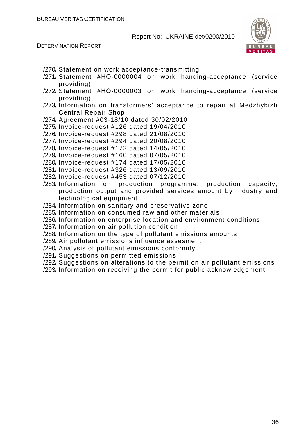



- /270/ Statement on work acceptance-transmitting
- /271/ Statement #НО-0000004 on work handing-acceptance (service providing)
- /272/ Statement #НО-0000003 on work handing-acceptance (service providing)
- /273/ Information on transformers' acceptance to repair at Medzhybizh Central Repair Shop
- /274/ Agreement #03-18/10 dated 30/02/2010
- /275/ Invoice-request #126 dated 19/04/2010
- /276/ Invoice-request #298 dated 21/08/2010
- /277/ Invoice-request #294 dated 20/08/2010
- /278/ Invoice-request #172 dated 14/05/2010
- /279/ Invoice-request #160 dated 07/05/2010
- /280/ Invoice-request #174 dated 17/05/2010
- /281/ Invoice-request #326 dated 13/09/2010
- /282/ Invoice-request #453 dated 07/12/2010
- /283/ Information on production programme, production capacity, production output and provided services amount by industry and technological equipment
- /284/ Information on sanitary and preservative zone
- /285/ Information on consumed raw and other materials
- /286/ Information on enterprise location and environment conditions
- /287/ Information on air pollution condition
- /288/ Information on the type of pollutant emissions amounts
- /289/ Air pollutant emissions influence assesment
- /290/ Analysis of pollutant emissions conformity
- /291/ Suggestions on permitted emissions
- /292/ Suggestions on alterations to the permit on air pollutant emissions
- /293/ Information on receiving the permit for public acknowledgement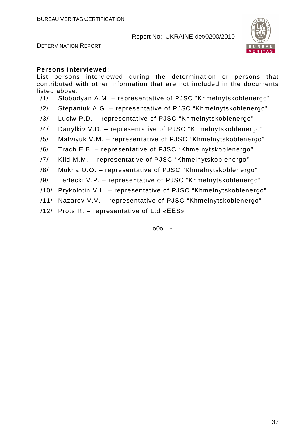



#### **Persons interviewed:**

List persons interviewed during the determination or persons that contributed with other information that are not included in the documents listed above.

- /1/ Slobodyan A.M. representative of PJSC "Khmelnytskoblenergo"
- /2/ Stepaniuk A.G. representative of PJSC "Khmelnytskoblenergo"
- /3/ Luciw P.D. representative of PJSC "Khmelnytskoblenergo"
- /4/ Danylkiv V.D. representative of PJSC "Khmelnytskoblenergo"
- /5/ Matviyuk V.M. representative of PJSC "Khmelnytskoblenergo"
- /6/ Trach E.B. representative of PJSC "Khmelnytskoblenergo"
- /7/ Klid M.M. representative of PJSC "Khmelnytskoblenergo"
- /8/ Mukha O.O. representative of PJSC "Khmelnytskoblenergo"
- /9/ Terlecki V.P. representative of PJSC "Khmelnytskoblenergo"
- /10/ Prykolotin V.L. representative of PJSC "Khmelnytskoblenergo"
- /11/ Nazarov V.V. representative of PJSC "Khmelnytskoblenergo"
- /12/ Prots R. representative of Ltd «ЕЕS»

o0o -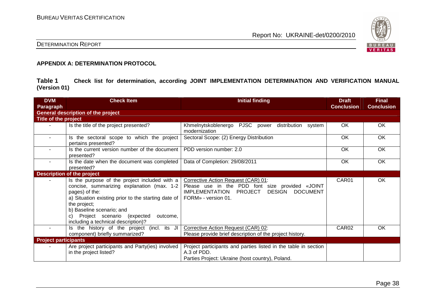

# DETERMINATION REPORT

#### **APPENDIX A: DETERMINATION PROTOCOL**

**Table 1 Check list for determination, according JOINT IMPLEMENTATION DETERMINATION AND VERIFICATION MANUAL (Version 01)** 

| <b>DVM</b><br>Paragraph     | <b>Check Item</b>                                                                                                                                                                                                                                                                                        | <b>Initial finding</b>                                                                                                                                               | <b>Draft</b><br><b>Conclusion</b> | <b>Final</b><br><b>Conclusion</b> |
|-----------------------------|----------------------------------------------------------------------------------------------------------------------------------------------------------------------------------------------------------------------------------------------------------------------------------------------------------|----------------------------------------------------------------------------------------------------------------------------------------------------------------------|-----------------------------------|-----------------------------------|
|                             | <b>General description of the project</b>                                                                                                                                                                                                                                                                |                                                                                                                                                                      |                                   |                                   |
| Title of the project        |                                                                                                                                                                                                                                                                                                          |                                                                                                                                                                      |                                   |                                   |
|                             | Is the title of the project presented?                                                                                                                                                                                                                                                                   | Khmelnytskoblenergo PJSC power distribution<br>system<br>modernization                                                                                               | OK                                | OK                                |
| $\sim$                      | Is the sectoral scope to which the project<br>pertains presented?                                                                                                                                                                                                                                        | Sectoral Scope: (2) Energy Distribution                                                                                                                              | OK                                | OK                                |
|                             | Is the current version number of the document<br>presented?                                                                                                                                                                                                                                              | PDD version number: 2.0                                                                                                                                              | OK                                | OK                                |
| $\sim$                      | Is the date when the document was completed<br>presented?                                                                                                                                                                                                                                                | Data of Completion: 29/08/2011                                                                                                                                       | <b>OK</b>                         | OK                                |
|                             | <b>Description of the project</b>                                                                                                                                                                                                                                                                        |                                                                                                                                                                      |                                   |                                   |
|                             | Is the purpose of the project included with a<br>concise, summarizing explanation (max. 1-2<br>pages) of the:<br>a) Situation existing prior to the starting date of<br>the project;<br>b) Baseline scenario; and<br>Project scenario (expected<br>outcome,<br>C)<br>including a technical description)? | Corrective Action Request (CAR) 01:<br>Please use in the PDD font size provided «JOINT<br>DESIGN DOCUMENT<br><b>IMPLEMENTATION</b><br>PROJECT<br>FORM» - version 01. | CAR01                             | OK                                |
| $\sim$                      | Is the history of the project (incl. its JI<br>component) briefly summarized?                                                                                                                                                                                                                            | Corrective Action Request (CAR) 02:<br>Please provide brief description of the project history.                                                                      | CAR <sub>02</sub>                 | <b>OK</b>                         |
| <b>Project participants</b> |                                                                                                                                                                                                                                                                                                          |                                                                                                                                                                      |                                   |                                   |
|                             | Are project participants and Party(ies) involved<br>in the project listed?                                                                                                                                                                                                                               | Project participants and parties listed in the table in section<br>A.3 of PDD.<br>Parties Project: Ukraine (host country), Poland.                                   |                                   |                                   |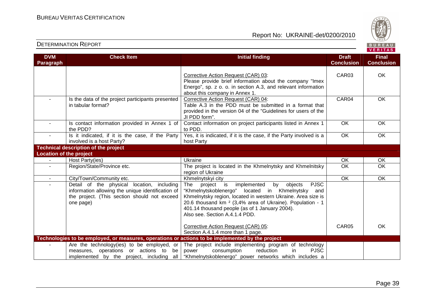

|                                | <b>DETERMINATION REPORT</b>                                                                                                                                  |                                                                                                                                                                                                                                                                                                                                                        |                                   | BUREAU<br><b>VERITAS</b>          |
|--------------------------------|--------------------------------------------------------------------------------------------------------------------------------------------------------------|--------------------------------------------------------------------------------------------------------------------------------------------------------------------------------------------------------------------------------------------------------------------------------------------------------------------------------------------------------|-----------------------------------|-----------------------------------|
| <b>DVM</b><br><b>Paragraph</b> | <b>Check Item</b>                                                                                                                                            | <b>Initial finding</b>                                                                                                                                                                                                                                                                                                                                 | <b>Draft</b><br><b>Conclusion</b> | <b>Final</b><br><b>Conclusion</b> |
|                                |                                                                                                                                                              | Corrective Action Request (CAR) 03:<br>Please provide brief information about the company "Imex<br>Energo", sp. z o. o. in section A.3, and relevant information<br>about this company in Annex 1.                                                                                                                                                     | CAR03                             | OK                                |
|                                | Is the data of the project participants presented<br>in tabular format?                                                                                      | Corrective Action Request (CAR) 04:<br>Table A.3 in the PDD must be submitted in a format that<br>provided in the version 04 of the "Guidelines for users of the<br>JI PDD form".                                                                                                                                                                      | CAR04                             | OK                                |
| $\blacksquare$                 | Is contact information provided in Annex 1 of<br>the PDD?                                                                                                    | Contact information on project participants listed in Annex 1<br>to PDD.                                                                                                                                                                                                                                                                               | OK                                | OK                                |
| $\sim$                         | Is it indicated, if it is the case, if the Party<br>involved is a host Party?                                                                                | Yes, it is indicated, if it is the case, if the Party involved is a<br>host Party                                                                                                                                                                                                                                                                      | OK                                | OK                                |
|                                | <b>Technical description of the project</b>                                                                                                                  |                                                                                                                                                                                                                                                                                                                                                        |                                   |                                   |
| <b>Location of the project</b> |                                                                                                                                                              |                                                                                                                                                                                                                                                                                                                                                        |                                   |                                   |
|                                | Host Party(ies)                                                                                                                                              | Ukraine                                                                                                                                                                                                                                                                                                                                                | OK                                | OK                                |
| $\blacksquare$                 | Region/State/Province etc.                                                                                                                                   | The project is located in the Khmelnytsky and Khmelnitsky<br>region of Ukraine                                                                                                                                                                                                                                                                         | $\overline{OK}$                   | $\overline{OK}$                   |
| $\sim$                         | City/Town/Community etc.                                                                                                                                     | Khmelnytskyi city                                                                                                                                                                                                                                                                                                                                      | <b>OK</b>                         | <b>OK</b>                         |
|                                | Detail of the physical location, including<br>information allowing the unique identification of<br>the project. (This section should not exceed<br>one page) | <b>PJSC</b><br>The<br>project<br>implemented<br>objects<br>is<br>by<br>"Khmelnytskoblenergo" located in Khmelnytsky<br>and<br>Khmelnytsky region, located in western Ukraine. Area size is<br>20.6 thousand km <sup>2</sup> (3,4% area of Ukraine). Population - 1<br>401.14 thousand people (as of 1 January 2004).<br>Also see. Section A.4.1.4 PDD. |                                   |                                   |
|                                |                                                                                                                                                              | Corrective Action Request (CAR) 05:<br>Section A.4.1.4 more than 1 page.                                                                                                                                                                                                                                                                               | CAR <sub>05</sub>                 | OK.                               |
|                                | Technologies to be employed, or measures, operations or actions to be implemented by the project                                                             |                                                                                                                                                                                                                                                                                                                                                        |                                   |                                   |
|                                | Are the technology (ies) to be employed, or<br>measures, operations or actions to<br>be<br>implemented by the project, including all                         | The project include implementing program of technology<br>reduction<br>in<br><b>PJSC</b><br>power<br>consumption<br>"Khmelnytskoblenergo" power networks which includes a                                                                                                                                                                              |                                   |                                   |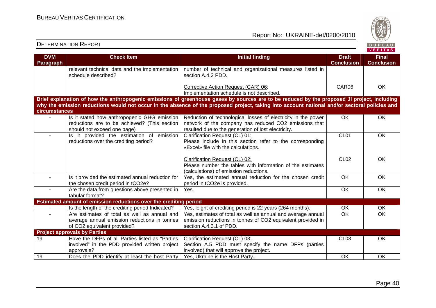

| <b>DVM</b><br>Paragraph | <b>Check Item</b>                                                                                                           | <b>Initial finding</b>                                                                                                                                                        | <b>Draft</b><br><b>Conclusion</b> | <b>Final</b><br><b>Conclusion</b> |
|-------------------------|-----------------------------------------------------------------------------------------------------------------------------|-------------------------------------------------------------------------------------------------------------------------------------------------------------------------------|-----------------------------------|-----------------------------------|
|                         | relevant technical data and the implementation<br>schedule described?                                                       | number of technical and organizational measures listed in<br>section A.4.2 PDD.                                                                                               |                                   |                                   |
|                         |                                                                                                                             | Corrective Action Request (CAR) 06:<br>Implementation schedule is not described.                                                                                              | CAR06                             | <b>OK</b>                         |
|                         |                                                                                                                             | Brief explanation of how the anthropogenic emissions of greenhouse gases by sources are to be reduced by the proposed JI project, including                                   |                                   |                                   |
| circumstances           |                                                                                                                             | why the emission reductions would not occur in the absence of the proposed project, taking into account national and/or sectoral policies and                                 |                                   |                                   |
| $\sim$                  | Is it stated how anthropogenic GHG emission<br>reductions are to be achieved? (This section<br>should not exceed one page)  | Reduction of technological losses of electricity in the power<br>network of the company has reduced CO2 emissions that<br>resulted due to the generation of lost electricity. | OK                                | <b>OK</b>                         |
| $\blacksquare$          | Is it provided the estimation of emission<br>reductions over the crediting period?                                          | Clarification Request (CL) 01:<br>Please include in this section refer to the corresponding<br>«Excel» file with the calculations.                                            | CL01                              | $\overline{OK}$                   |
|                         |                                                                                                                             | Clarification Request (CL) 02:<br>Please number the tables with information of the estimates<br>(calculations) of emission reductions.                                        | <b>CL02</b>                       | <b>OK</b>                         |
|                         | Is it provided the estimated annual reduction for<br>the chosen credit period in tCO2e?                                     | Yes, the estimated annual reduction for the chosen credit<br>period in tCO2e is provided.                                                                                     | $\overline{OK}$                   | OK                                |
| $\blacksquare$          | Are the data from questions above presented in<br>tabular format?                                                           | Yes.                                                                                                                                                                          | <b>OK</b>                         | <b>OK</b>                         |
|                         | Estimated amount of emission reductions over the crediting period                                                           |                                                                                                                                                                               |                                   |                                   |
|                         | Is the length of the crediting period Indicated?                                                                            | Yes, leight of crediting period is 22 years (264 months).                                                                                                                     | <b>OK</b>                         | OK                                |
| $\sim$                  | Are estimates of total as well as annual and<br>average annual emission reductions in tonnes<br>of CO2 equivalent provided? | Yes, estimates of total as well as annual and average annual<br>emission reductions in tonnes of CO2 equivalent provided in<br>section A.4.3.1 of PDD.                        | $\overline{OK}$                   | $\overline{OK}$                   |
|                         | <b>Project approvals by Parties</b>                                                                                         |                                                                                                                                                                               |                                   |                                   |
| 19                      | Have the DFPs of all Parties listed as "Parties<br>involved" in the PDD provided written project<br>approvals?              | Clarification Request (CL) 03:<br>Section A.5 PDD must specify the name DFPs (parties<br>involved) that will approve the project.                                             | <b>CL03</b>                       | OK                                |
| 19                      | Does the PDD identify at least the host Party                                                                               | Yes, Ukraine is the Host Party.                                                                                                                                               | OK                                | <b>OK</b>                         |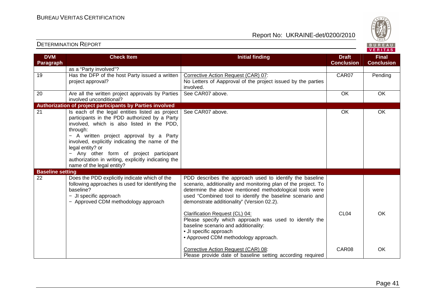Report No: UKRAINE-det/0200/2010



VERITAS

#### **DVM Paragraph Check Item Initial finding Check Item Initial finding Check Item Initial finding Check Item Initial finding Check ConclusionFinal Conclusion** as a "Party involved"? 19 | Has the DFP of the host Party issued a written project approval? Corrective Action Request (CAR) 07: No Letters of Aapproval of the project issued by the parties involved. See CAR07 above. OK OK CAR07 Pending 20 Are all the written project approvals by Parties involved unconditional? **Authorization of project participants by Parties involved** 21 **Is each of the legal entities listed as project**  participants in the PDD authorized by a Party involved, which is also listed in the PDD, through: − A written project approval by a Party involved, explicitly indicating the name of the legal entity? or − Any other form of project participant authorization in writing, explicitly indicating thename of the legal entity? See CAR07 above. 
OK OK **Baseline setting**  22 Does the PDD explicitly indicate which of the following approaches is used for identifying the baseline? − JI specific approach − Approved CDM methodology approach PDD describes the approach used to identify the baseline scenario, additionality and monitoring plan of the project. To determine the above mentioned methodological tools were used "Combined tool to identify the baseline scenario and demonstrate additionality" (Version 02.2). Clarification Request (CL) 04: Please specify which approach was used to identify the baseline scenario and additionality: • JI specific approach • Approved CDM methodology approach. Corrective Action Request (CAR) 08: Please provide date of baseline setting according required CL04 CAR08 OK OK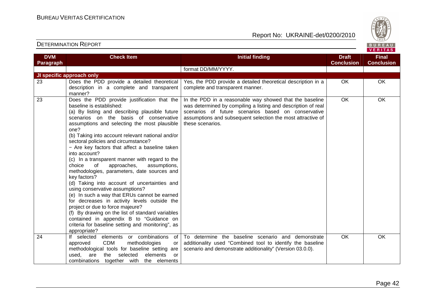

| <b>DVM</b> | <b>Check Item</b>                                                                                                                                                                                                                                                                                                                                                                                                                                                                                                                                                                                                                                                                                                                                                                                                                                                                                                                                    | <b>Initial finding</b>                                                                                                                                                                                                                                             | <b>Draft</b>      | <b>Final</b>      |
|------------|------------------------------------------------------------------------------------------------------------------------------------------------------------------------------------------------------------------------------------------------------------------------------------------------------------------------------------------------------------------------------------------------------------------------------------------------------------------------------------------------------------------------------------------------------------------------------------------------------------------------------------------------------------------------------------------------------------------------------------------------------------------------------------------------------------------------------------------------------------------------------------------------------------------------------------------------------|--------------------------------------------------------------------------------------------------------------------------------------------------------------------------------------------------------------------------------------------------------------------|-------------------|-------------------|
| Paragraph  |                                                                                                                                                                                                                                                                                                                                                                                                                                                                                                                                                                                                                                                                                                                                                                                                                                                                                                                                                      |                                                                                                                                                                                                                                                                    | <b>Conclusion</b> | <b>Conclusion</b> |
|            |                                                                                                                                                                                                                                                                                                                                                                                                                                                                                                                                                                                                                                                                                                                                                                                                                                                                                                                                                      | format DD/MM/YYYY.                                                                                                                                                                                                                                                 |                   |                   |
|            | JI specific approach only                                                                                                                                                                                                                                                                                                                                                                                                                                                                                                                                                                                                                                                                                                                                                                                                                                                                                                                            |                                                                                                                                                                                                                                                                    |                   |                   |
| 23         | Does the PDD provide a detailed theoretical<br>description in a complete and transparent<br>manner?                                                                                                                                                                                                                                                                                                                                                                                                                                                                                                                                                                                                                                                                                                                                                                                                                                                  | Yes, the PDD provide a detailed theoretical description in a<br>complete and transparent manner.                                                                                                                                                                   | OK                | OK                |
| 23         | Does the PDD provide justification that the<br>baseline is established:<br>(a) By listing and describing plausible future<br>scenarios on the basis of conservative<br>assumptions and selecting the most plausible<br>one?<br>(b) Taking into account relevant national and/or<br>sectoral policies and circumstance?<br>- Are key factors that affect a baseline taken<br>into account?<br>(c) In a transparent manner with regard to the<br>approaches,<br>choice<br>of<br>assumptions,<br>methodologies, parameters, date sources and<br>key factors?<br>(d) Taking into account of uncertainties and<br>using conservative assumptions?<br>(e) In such a way that ERUs cannot be earned<br>for decreases in activity levels outside the<br>project or due to force majeure?<br>(f) By drawing on the list of standard variables<br>contained in appendix B to "Guidance on<br>criteria for baseline setting and monitoring", as<br>appropriate? | In the PDD in a reasonable way showed that the baseline<br>was determined by compiling a listing and description of real<br>scenarios of future scenarios based on conservative<br>assumptions and subsequent selection the most attractive of<br>these scenarios. | OK                | OK                |
| 24         | If selected elements or combinations<br>of<br><b>CDM</b><br>approved<br>methodologies<br>or<br>methodological tools for baseline setting are<br>selected<br>elements<br>used,<br>are<br>the<br>or<br>combinations together with the elements                                                                                                                                                                                                                                                                                                                                                                                                                                                                                                                                                                                                                                                                                                         | To determine the baseline scenario and demonstrate<br>additionality used "Combined tool to identify the baseline<br>scenario and demonstrate additionality" (Version 03.0.0).                                                                                      | <b>OK</b>         | <b>OK</b>         |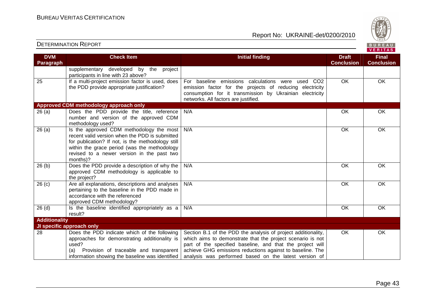



| <b>DVM</b>           | <b>Check Item</b>                                                                                                                                                                                                                                         | <b>Initial finding</b>                                                                                                                                                                                                                                                                                         | <b>Draft</b>      | <b>Final</b>      |
|----------------------|-----------------------------------------------------------------------------------------------------------------------------------------------------------------------------------------------------------------------------------------------------------|----------------------------------------------------------------------------------------------------------------------------------------------------------------------------------------------------------------------------------------------------------------------------------------------------------------|-------------------|-------------------|
| Paragraph            |                                                                                                                                                                                                                                                           |                                                                                                                                                                                                                                                                                                                | <b>Conclusion</b> | <b>Conclusion</b> |
|                      | supplementary developed by the<br>project<br>participants in line with 23 above?                                                                                                                                                                          |                                                                                                                                                                                                                                                                                                                |                   |                   |
| 25                   | If a multi-project emission factor is used, does<br>the PDD provide appropriate justification?                                                                                                                                                            | For baseline emissions calculations<br>were used CO2<br>emission factor for the projects of reducing electricity<br>consumption for it transmission by Ukrainian electricity<br>networks. All factors are justified.                                                                                           | <b>OK</b>         | OK                |
|                      | Approved CDM methodology approach only                                                                                                                                                                                                                    |                                                                                                                                                                                                                                                                                                                |                   |                   |
| 26(a)                | Does the PDD provide the title, reference<br>number and version of the approved CDM<br>methodology used?                                                                                                                                                  | N/A                                                                                                                                                                                                                                                                                                            | OK                | OK                |
| 26(a)                | Is the approved CDM methodology the most<br>recent valid version when the PDD is submitted<br>for publication? If not, is the methodology still<br>within the grace period (was the methodology<br>revised to a newer version in the past two<br>months)? | N/A                                                                                                                                                                                                                                                                                                            | OK                | OK                |
| 26(b)                | Does the PDD provide a description of why the<br>approved CDM methodology is applicable to<br>the project?                                                                                                                                                | N/A                                                                                                                                                                                                                                                                                                            | OK                | OK                |
| 26(c)                | Are all explanations, descriptions and analyses<br>pertaining to the baseline in the PDD made in<br>accordance with the referenced<br>approved CDM methodology?                                                                                           | N/A                                                                                                                                                                                                                                                                                                            | OK                | OK                |
| $26$ (d)             | Is the baseline identified appropriately as a<br>result?                                                                                                                                                                                                  | N/A                                                                                                                                                                                                                                                                                                            | <b>OK</b>         | OK                |
| <b>Additionality</b> |                                                                                                                                                                                                                                                           |                                                                                                                                                                                                                                                                                                                |                   |                   |
|                      | JI specific approach only                                                                                                                                                                                                                                 |                                                                                                                                                                                                                                                                                                                |                   |                   |
| 28                   | Does the PDD indicate which of the following<br>approaches for demonstrating additionality is<br>used?<br>Provision of traceable and transparent<br>(a)<br>information showing the baseline was identified                                                | Section B.1 of the PDD the analysis of project additionality,<br>which aims to demonstrate that the project scenario is not<br>part of the specified baseline, and that the project will<br>achieve GHG emissions reductions against to baseline. The<br>analysis was performed based on the latest version of | <b>OK</b>         | OK                |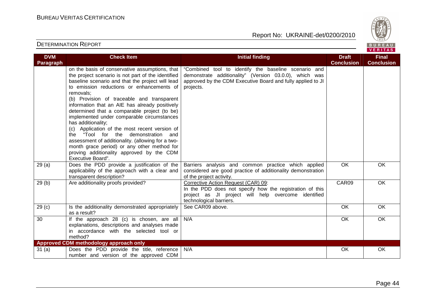

| <b>DVM</b>        | <b>Check Item</b>                                                                                                                                                                                                                                                                                                                                                                                                                                                                                                                                                                                                                                                                                    | <b>Initial finding</b>                                                                                                                                                                     | <b>Draft</b>      | <b>Final</b>      |
|-------------------|------------------------------------------------------------------------------------------------------------------------------------------------------------------------------------------------------------------------------------------------------------------------------------------------------------------------------------------------------------------------------------------------------------------------------------------------------------------------------------------------------------------------------------------------------------------------------------------------------------------------------------------------------------------------------------------------------|--------------------------------------------------------------------------------------------------------------------------------------------------------------------------------------------|-------------------|-------------------|
| Paragraph         |                                                                                                                                                                                                                                                                                                                                                                                                                                                                                                                                                                                                                                                                                                      |                                                                                                                                                                                            | <b>Conclusion</b> | <b>Conclusion</b> |
|                   | on the basis of conservative assumptions, that<br>the project scenario is not part of the identified<br>baseline scenario and that the project will lead<br>to emission reductions or enhancements of<br>removals:<br>(b) Provision of traceable and transparent<br>information that an AIE has already positively<br>determined that a comparable project (to be)<br>implemented under comparable circumstances<br>has additionality;<br>(c) Application of the most recent version of<br>the "Tool for the demonstration and<br>assessment of additionality. (allowing for a two-<br>month grace period) or any other method for<br>proving additionality approved by the CDM<br>Executive Board". | "Combined tool to identify the baseline scenario and<br>demonstrate additionality" (Version 03.0.0), which was<br>approved by the CDM Executive Board and fully applied to JI<br>projects. |                   |                   |
| 29(a)             | Does the PDD provide a justification of the<br>applicability of the approach with a clear and<br>transparent description?                                                                                                                                                                                                                                                                                                                                                                                                                                                                                                                                                                            | Barriers analysis and common practice which applied<br>considered are good practice of additionality demonstration<br>of the project activity.                                             | $\overline{OK}$   | <b>OK</b>         |
| 29(b)             | Are additionality proofs provided?                                                                                                                                                                                                                                                                                                                                                                                                                                                                                                                                                                                                                                                                   | Corrective Action Request (CAR) 09:<br>In the PDD does not specify how the registration of this<br>project as JI project will help overcome identified<br>technological barriers.          | CAR09             | OK                |
| 29 <sub>(c)</sub> | Is the additionality demonstrated appropriately<br>as a result?                                                                                                                                                                                                                                                                                                                                                                                                                                                                                                                                                                                                                                      | See CAR09 above.                                                                                                                                                                           | <b>OK</b>         | OK                |
| 30                | If the approach 28 (c) is chosen, are all<br>explanations, descriptions and analyses made<br>in accordance with the selected tool or<br>method?                                                                                                                                                                                                                                                                                                                                                                                                                                                                                                                                                      | N/A                                                                                                                                                                                        | OK                | OK                |
|                   | Approved CDM methodology approach only                                                                                                                                                                                                                                                                                                                                                                                                                                                                                                                                                                                                                                                               |                                                                                                                                                                                            |                   |                   |
| 31(a)             | Does the PDD provide the title, reference<br>number and version of the approved CDM                                                                                                                                                                                                                                                                                                                                                                                                                                                                                                                                                                                                                  | N/A                                                                                                                                                                                        | OK                | OK                |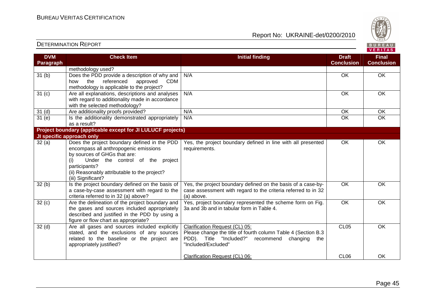

#### **VERITAS Check Item Initial finding Check Item Initial finding Check Item Initial finding Check Item Initial finding Check DVM Final Paragraph Conclusion Conclusion** methodology used? 31 (b) Does the PDD provide a description of why and N/A OK OK OK how the referenced approved CDM methodology is applicable to the project? 31 (c) Are all explanations, descriptions and analyses N/A OK OK OK with regard to additionality made in accordance with the selected methodology? 31 (d) | Are additionality proofs provided? | N/A OK | OK 31 (e) Is the additionality demonstrated appropriately  $\overline{OK}$ N/A OK OK OK as a result? **Project boundary (applicable except for JI LULUCF projects) JI specific approach only** Yes, the project boundary defined in line with all presented OK OK 32 (a) Does the project boundary defined in the PDDencompass all anthropogenic emissions requirements. by sources of GHGs that are: (i) Under the control of the project participants? (ii) Reasonably attributable to the project? (iii) Significant?  $32(b)$  Is the project boundary defined on the basis of Yes, the project boundary defined on the basis of a case-by-OK OK case assessment with regard to the criteria referred to in 32 a case-by-case assessment with regard to the criteria referred to in 32 (a) above? (a) above.  $32 (c)$  Are the delineation of the project boundary and Yes, project boundary represented the scheme form on Fig. OK OK the gases and sources included appropriately 3a and 3b and in tabular form in Table 4. described and justified in the PDD by using a figure or flow chart as appropriate? Clarification Request (CL) 05:OK 32 (d) Are all gases and sources included explicitly CL05 stated, and the exclusions of any sources Please change the title of fourth column Table 4 (Section B.3 related to the baseline or the project are PDD). Title "Included?" recommend changing the appropriately justified? "Included/Excluded" Clarification Request (CL) 06:CL06 OK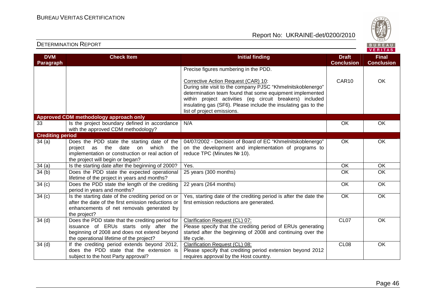Report No: UKRAINE-det/0200/2010



#### VERITAS **Check Item Initial finding Check Item Initial finding Check Item Initial finding Check Item Initial finding Check DVM Final Paragraph Conclusion Conclusion** Precise figures numbering in the PDD. Corrective Action Request (CAR) 10: CAR10 OK During site visit to the company PJSC "Khmelnitskoblenergo" determination team found that some equipment implemented within project activities (eg circuit breakers) included insulating gas (SF6). Please include the insulating gas to the list of project emissions. **Approved CDM methodology approach only** 33 **Is the project boundary defined in accordance** N/A OK OK OK with the approved CDM methodology? **Crediting period**  $34$  (a)  $\hbox{\textsf{Does}}$  the PDD state the starting date of the 04/07/2002 - Decision of Board of EС "Khmelnitskoblenergo" OK OK project as the date on which the on the development and implementation of programs to implementation or construction or real action of reduce TPC (Minutes № 10). the project will begin or began? 34 (a) Is the starting date after the beginning of 2000? Yes. OK OK 34 (b) Does the PDD state the expected operational 25 years (300 months) OK OK lifetime of the project in years and months? 22 years (264 months) OK OK  $34 (c)$  Does the PDD state the length of the crediting period in years and months?  $34 (c)$  Is the starting date of the crediting period on or Yes, starting date of the crediting period is after the date the OK OK after the date of the first emission reductions or first emission reductions are generated. enhancements of net removals generated by the project? 34 (d) Does the PDD state that the crediting period for Clarification Request (CL) 07:CL07 OK issuance of ERUs starts only after the Please specify that the crediting period of ERUs generating beginning of 2008 and does not extend beyond started after the beginning of 2008 and continuing over the the operational lifetime of the project? life cycle. 34 (d) | If the crediting period extends beyond 2012, Clarification Request (CL) 08:CL08 OK does the PDD state that the extension is Please specify that crediting period extension beyond 2012 subject to the host Party approval? requires approval by the Host country.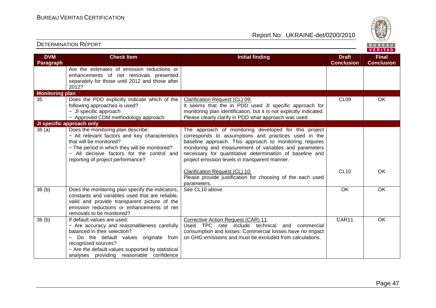

| <b>DVM</b><br><b>Paragraph</b> | <b>Check Item</b>                                                                                                                                                                                                                                                                                      | <b>Initial finding</b>                                                                                                                                                                                                                                                                                                                           | <b>Draft</b><br><b>Conclusion</b> | <b>Final</b><br><b>Conclusion</b> |
|--------------------------------|--------------------------------------------------------------------------------------------------------------------------------------------------------------------------------------------------------------------------------------------------------------------------------------------------------|--------------------------------------------------------------------------------------------------------------------------------------------------------------------------------------------------------------------------------------------------------------------------------------------------------------------------------------------------|-----------------------------------|-----------------------------------|
|                                | Are the estimates of emission reductions or<br>enhancements of net removals presented<br>separately for those until 2012 and those after<br>2012?                                                                                                                                                      |                                                                                                                                                                                                                                                                                                                                                  |                                   |                                   |
| <b>Monitoring plan</b>         |                                                                                                                                                                                                                                                                                                        |                                                                                                                                                                                                                                                                                                                                                  |                                   |                                   |
| 35                             | Does the PDD explicitly indicate which of the<br>following approaches is used?<br>- JI specific approach<br>- Approved CDM methodology approach                                                                                                                                                        | Clarification Request (CL) 09:<br>It seems that the in PDD used JI specific approach for<br>monitoring plan identification, but it is not explicitly indicated.<br>Please clearly clarify in PDD what approach was used.                                                                                                                         | CL <sub>09</sub>                  | OK                                |
|                                | JI specific approach only                                                                                                                                                                                                                                                                              |                                                                                                                                                                                                                                                                                                                                                  |                                   |                                   |
| 36(a)                          | Does the monitoring plan describe:<br>- All relevant factors and key characteristics<br>that will be monitored?<br>- The period in which they will be monitored?<br>- All decisive factors for the control and<br>reporting of project performance?                                                    | The approach of monitoring developed for this project<br>corresponds to assumptions and practices used in the<br>baseline approach. This approach to monitoring requires<br>monitoring and measurement of variables and parameters<br>necessary for quantitative determination of baseline and<br>project emission levels in transparent manner. |                                   |                                   |
|                                |                                                                                                                                                                                                                                                                                                        | Clarification Request (CL) 10:<br>Please provide justification for choosing of the each used<br>parameters.                                                                                                                                                                                                                                      | <b>CL10</b>                       | OK                                |
| 36(b)                          | Does the monitoring plan specify the indicators,<br>constants and variables used that are reliable,<br>valid and provide transparent picture of the<br>emission reductions or enhancements of net<br>removals to be monitored?                                                                         | See CL10 above.                                                                                                                                                                                                                                                                                                                                  | OK                                | OK                                |
| 36(b)                          | If default values are used:<br>- Are accuracy and reasonableness carefully<br>balanced in their selection?<br>Do the default values originate from<br>$\overline{\phantom{0}}$<br>recognized sources?<br>- Are the default values supported by statistical<br>analyses providing reasonable confidence | Corrective Action Request (CAR) 11:<br>Used TPC rate include technical<br>and<br>commercial<br>consumption and losses. Commercial losses have no impact<br>on GHG emissions and must be excluded from calculations.                                                                                                                              | CAR11                             | $\overline{OK}$                   |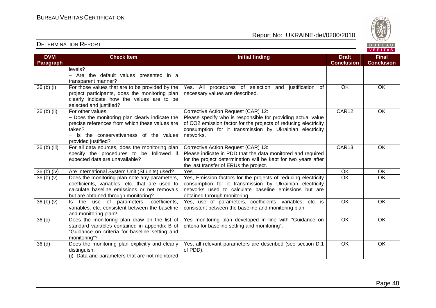

| <b>DVM</b>                       | <b>Check Item</b>                                                                                                                                                                                  | <b>Initial finding</b>                                                                                                                                                                                                                          | <b>Draft</b>      | <b>Final</b>      |
|----------------------------------|----------------------------------------------------------------------------------------------------------------------------------------------------------------------------------------------------|-------------------------------------------------------------------------------------------------------------------------------------------------------------------------------------------------------------------------------------------------|-------------------|-------------------|
| Paragraph                        |                                                                                                                                                                                                    |                                                                                                                                                                                                                                                 | <b>Conclusion</b> | <b>Conclusion</b> |
|                                  | levels?<br>- Are the default values presented in a<br>transparent manner?                                                                                                                          |                                                                                                                                                                                                                                                 |                   |                   |
| 36 (b) (i)                       | For those values that are to be provided by the<br>project participants, does the monitoring plan<br>clearly indicate how the values are to be<br>selected and justified?                          | Yes. All procedures of selection and justification of<br>necessary values are described.                                                                                                                                                        | <b>OK</b>         | <b>OK</b>         |
| 36 (b) (ii)                      | For other values,<br>- Does the monitoring plan clearly indicate the<br>precise references from which these values are<br>taken?<br>- Is the conservativeness of the values<br>provided justified? | Corrective Action Request (CAR) 12:<br>Please specify who is responsible for providing actual value<br>of CO2 emission factor for the projects of reducing electricity<br>consumption for it transmission by Ukrainian electricity<br>networks. | CAR12             | OK                |
| 36 (b) (iii)                     | For all data sources, does the monitoring plan<br>specify the procedures to be followed if<br>expected data are unavailable?                                                                       | Corrective Action Request (CAR) 13:<br>Please indicate in PDD that the data monitored and required<br>for the project determination will be kept for two years after<br>the last transfer of ERUs the project.                                  | CAR13             | OK                |
| 36 (b) (iv)                      | Are International System Unit (SI units) used?                                                                                                                                                     | Yes.                                                                                                                                                                                                                                            | $\overline{OK}$   | OK                |
| 36 <sub>(b)</sub> <sub>(v)</sub> | Does the monitoring plan note any parameters,<br>coefficients, variables, etc. that are used to<br>calculate baseline emissions or net removals<br>but are obtained through monitoring?            | Yes, Emission factors for the projects of reducing electricity<br>consumption for it transmission by Ukrainian electricity<br>networks used to calculate baseline emissions but are<br>obtained through monitoring.                             | $\overline{OK}$   | OK                |
| 36 <sub>(b)</sub> <sub>(v)</sub> | Is the use of parameters, coefficients,<br>variables, etc. consistent between the baseline<br>and monitoring plan?                                                                                 | Yes, use of parameters, coefficients, variables, etc. is<br>consistent between the baseline and monitoring plan.                                                                                                                                | <b>OK</b>         | <b>OK</b>         |
| 36 <sub>(c)</sub>                | Does the monitoring plan draw on the list of<br>standard variables contained in appendix B of<br>"Guidance on criteria for baseline setting and<br>monitoring"?                                    | Yes monitoring plan developed in line with "Guidance on<br>criteria for baseline setting and monitoring".                                                                                                                                       | $\overline{OK}$   | OK                |
| 36 <sub>(d)</sub>                | Does the monitoring plan explicitly and clearly<br>distinguish:<br>(i) Data and parameters that are not monitored                                                                                  | Yes, all relevant parameters are described (see section D.1<br>of PDD).                                                                                                                                                                         | <b>OK</b>         | OK                |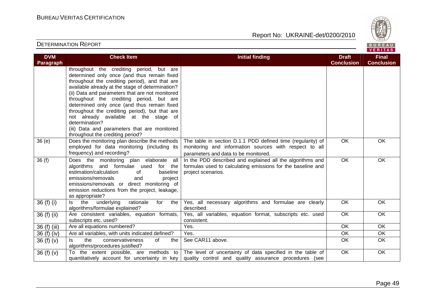

| <b>DVM</b><br>Paragraph | <b>Check Item</b>                                                                                                                                                                                                                                                                                                                                                                                                                                                                                                                            | <b>Initial finding</b>                                                                                                                                                                                     | <b>Draft</b><br><b>Conclusion</b> | <b>Final</b><br><b>Conclusion</b> |
|-------------------------|----------------------------------------------------------------------------------------------------------------------------------------------------------------------------------------------------------------------------------------------------------------------------------------------------------------------------------------------------------------------------------------------------------------------------------------------------------------------------------------------------------------------------------------------|------------------------------------------------------------------------------------------------------------------------------------------------------------------------------------------------------------|-----------------------------------|-----------------------------------|
|                         | throughout the crediting period, but are<br>determined only once (and thus remain fixed<br>throughout the crediting period), and that are<br>available already at the stage of determination?<br>(ii) Data and parameters that are not monitored<br>throughout the crediting period, but are<br>determined only once (and thus remain fixed<br>throughout the crediting period), but that are<br>not already available at the stage of<br>determination?<br>(iii) Data and parameters that are monitored<br>throughout the crediting period? |                                                                                                                                                                                                            |                                   |                                   |
| 36 (e)                  | Does the monitoring plan describe the methods<br>employed for data monitoring (including its<br>frequency) and recording?                                                                                                                                                                                                                                                                                                                                                                                                                    | The table in section D.1.1 PDD defined time (regularity) of<br>monitoring and information sources with respect to all<br>parameters and data to be monitored.                                              | <b>OK</b>                         | <b>OK</b>                         |
| 36(f)                   | Does the monitoring plan elaborate all<br>algorithms and formulae used for the<br>estimation/calculation<br>of<br>baseline<br>emissions/removals<br>and<br>project<br>emissions/removals or direct monitoring of<br>emission reductions from the project, leakage,<br>as appropriate?                                                                                                                                                                                                                                                        | In the PDD described and explained all the algorithms and<br>formulas used to calculating emissions for the baseline and<br>project scenarios.                                                             | $\overline{OK}$                   | OK                                |
| 36 (f) (i)              | the<br>underlying<br>rationale<br>the<br>ls.<br>for<br>algorithms/formulae explained?                                                                                                                                                                                                                                                                                                                                                                                                                                                        | Yes, all necessary algorithms and formulae are clearly<br>described.                                                                                                                                       | OK                                | OK                                |
| $36(f)$ (ii)            | Are consistent variables, equation formats,<br>subscripts etc. used?                                                                                                                                                                                                                                                                                                                                                                                                                                                                         | Yes, all variables, equation format, subscripts etc. used<br>consistent.                                                                                                                                   | $\overline{OK}$                   | $\overline{OK}$                   |
| 36 (f) (iii)            | Are all equations numbered?                                                                                                                                                                                                                                                                                                                                                                                                                                                                                                                  | Yes.                                                                                                                                                                                                       | $\overline{OK}$                   | OK                                |
| 36 (f) (iv)             | Are all variables, with units indicated defined?                                                                                                                                                                                                                                                                                                                                                                                                                                                                                             | Yes.                                                                                                                                                                                                       | <b>OK</b>                         | OK                                |
| 36 $(f)(v)$             | ls.<br>the<br>conservativeness<br>of<br>the<br>algorithms/procedures justified?                                                                                                                                                                                                                                                                                                                                                                                                                                                              | See CAR11 above.                                                                                                                                                                                           | <b>OK</b>                         | OK                                |
| 36 $(f)(v)$             |                                                                                                                                                                                                                                                                                                                                                                                                                                                                                                                                              | To the extent possible, are methods to   The level of uncertainty of data specified in the table of<br>quantitatively account for uncertainty in key quality control and quality assurance procedures (see | $\overline{OK}$                   | OK                                |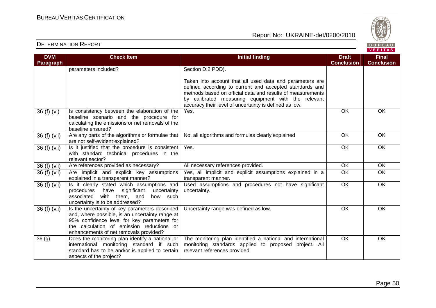

| <b>Check Item</b>                                | <b>Initial finding</b>                                                                                                                                                                                                                                                                                                                                                                                                                                                                                                                                                                                                                                                                                                                                                                                        | <b>Draft</b>                                                                                                                                                                                                                                                                                                                                                                                                                                                                                                                   | <b>Final</b>                                                  |
|--------------------------------------------------|---------------------------------------------------------------------------------------------------------------------------------------------------------------------------------------------------------------------------------------------------------------------------------------------------------------------------------------------------------------------------------------------------------------------------------------------------------------------------------------------------------------------------------------------------------------------------------------------------------------------------------------------------------------------------------------------------------------------------------------------------------------------------------------------------------------|--------------------------------------------------------------------------------------------------------------------------------------------------------------------------------------------------------------------------------------------------------------------------------------------------------------------------------------------------------------------------------------------------------------------------------------------------------------------------------------------------------------------------------|---------------------------------------------------------------|
|                                                  |                                                                                                                                                                                                                                                                                                                                                                                                                                                                                                                                                                                                                                                                                                                                                                                                               |                                                                                                                                                                                                                                                                                                                                                                                                                                                                                                                                | <b>Conclusion</b>                                             |
|                                                  |                                                                                                                                                                                                                                                                                                                                                                                                                                                                                                                                                                                                                                                                                                                                                                                                               |                                                                                                                                                                                                                                                                                                                                                                                                                                                                                                                                |                                                               |
|                                                  | Taken into account that all used data and parameters are                                                                                                                                                                                                                                                                                                                                                                                                                                                                                                                                                                                                                                                                                                                                                      |                                                                                                                                                                                                                                                                                                                                                                                                                                                                                                                                |                                                               |
|                                                  |                                                                                                                                                                                                                                                                                                                                                                                                                                                                                                                                                                                                                                                                                                                                                                                                               |                                                                                                                                                                                                                                                                                                                                                                                                                                                                                                                                |                                                               |
|                                                  |                                                                                                                                                                                                                                                                                                                                                                                                                                                                                                                                                                                                                                                                                                                                                                                                               |                                                                                                                                                                                                                                                                                                                                                                                                                                                                                                                                |                                                               |
|                                                  | accuracy their level of uncertainty is defined as low.                                                                                                                                                                                                                                                                                                                                                                                                                                                                                                                                                                                                                                                                                                                                                        |                                                                                                                                                                                                                                                                                                                                                                                                                                                                                                                                |                                                               |
| Is consistency between the elaboration of the    | Yes.                                                                                                                                                                                                                                                                                                                                                                                                                                                                                                                                                                                                                                                                                                                                                                                                          |                                                                                                                                                                                                                                                                                                                                                                                                                                                                                                                                | OK                                                            |
|                                                  |                                                                                                                                                                                                                                                                                                                                                                                                                                                                                                                                                                                                                                                                                                                                                                                                               |                                                                                                                                                                                                                                                                                                                                                                                                                                                                                                                                |                                                               |
|                                                  |                                                                                                                                                                                                                                                                                                                                                                                                                                                                                                                                                                                                                                                                                                                                                                                                               |                                                                                                                                                                                                                                                                                                                                                                                                                                                                                                                                |                                                               |
| Are any parts of the algorithms or formulae that | No, all algorithms and formulas clearly explained                                                                                                                                                                                                                                                                                                                                                                                                                                                                                                                                                                                                                                                                                                                                                             | OK                                                                                                                                                                                                                                                                                                                                                                                                                                                                                                                             | OK                                                            |
| are not self-evident explained?                  |                                                                                                                                                                                                                                                                                                                                                                                                                                                                                                                                                                                                                                                                                                                                                                                                               |                                                                                                                                                                                                                                                                                                                                                                                                                                                                                                                                |                                                               |
|                                                  |                                                                                                                                                                                                                                                                                                                                                                                                                                                                                                                                                                                                                                                                                                                                                                                                               |                                                                                                                                                                                                                                                                                                                                                                                                                                                                                                                                | OK                                                            |
|                                                  |                                                                                                                                                                                                                                                                                                                                                                                                                                                                                                                                                                                                                                                                                                                                                                                                               |                                                                                                                                                                                                                                                                                                                                                                                                                                                                                                                                |                                                               |
|                                                  |                                                                                                                                                                                                                                                                                                                                                                                                                                                                                                                                                                                                                                                                                                                                                                                                               | $\overline{\overline{\rm OK}}$                                                                                                                                                                                                                                                                                                                                                                                                                                                                                                 | $\overline{OK}$                                               |
|                                                  |                                                                                                                                                                                                                                                                                                                                                                                                                                                                                                                                                                                                                                                                                                                                                                                                               |                                                                                                                                                                                                                                                                                                                                                                                                                                                                                                                                | OK                                                            |
| explained in a transparent manner?               | transparent manner.                                                                                                                                                                                                                                                                                                                                                                                                                                                                                                                                                                                                                                                                                                                                                                                           |                                                                                                                                                                                                                                                                                                                                                                                                                                                                                                                                |                                                               |
| Is it clearly stated which assumptions and       | Used assumptions and procedures not have significant                                                                                                                                                                                                                                                                                                                                                                                                                                                                                                                                                                                                                                                                                                                                                          | $\overline{OK}$                                                                                                                                                                                                                                                                                                                                                                                                                                                                                                                | OK                                                            |
|                                                  |                                                                                                                                                                                                                                                                                                                                                                                                                                                                                                                                                                                                                                                                                                                                                                                                               |                                                                                                                                                                                                                                                                                                                                                                                                                                                                                                                                |                                                               |
|                                                  |                                                                                                                                                                                                                                                                                                                                                                                                                                                                                                                                                                                                                                                                                                                                                                                                               |                                                                                                                                                                                                                                                                                                                                                                                                                                                                                                                                |                                                               |
|                                                  |                                                                                                                                                                                                                                                                                                                                                                                                                                                                                                                                                                                                                                                                                                                                                                                                               |                                                                                                                                                                                                                                                                                                                                                                                                                                                                                                                                | OK                                                            |
| and, where possible, is an uncertainty range at  |                                                                                                                                                                                                                                                                                                                                                                                                                                                                                                                                                                                                                                                                                                                                                                                                               |                                                                                                                                                                                                                                                                                                                                                                                                                                                                                                                                |                                                               |
| 95% confidence level for key parameters for      |                                                                                                                                                                                                                                                                                                                                                                                                                                                                                                                                                                                                                                                                                                                                                                                                               |                                                                                                                                                                                                                                                                                                                                                                                                                                                                                                                                |                                                               |
|                                                  |                                                                                                                                                                                                                                                                                                                                                                                                                                                                                                                                                                                                                                                                                                                                                                                                               |                                                                                                                                                                                                                                                                                                                                                                                                                                                                                                                                |                                                               |
|                                                  |                                                                                                                                                                                                                                                                                                                                                                                                                                                                                                                                                                                                                                                                                                                                                                                                               |                                                                                                                                                                                                                                                                                                                                                                                                                                                                                                                                |                                                               |
|                                                  |                                                                                                                                                                                                                                                                                                                                                                                                                                                                                                                                                                                                                                                                                                                                                                                                               |                                                                                                                                                                                                                                                                                                                                                                                                                                                                                                                                | OK                                                            |
|                                                  |                                                                                                                                                                                                                                                                                                                                                                                                                                                                                                                                                                                                                                                                                                                                                                                                               |                                                                                                                                                                                                                                                                                                                                                                                                                                                                                                                                |                                                               |
|                                                  |                                                                                                                                                                                                                                                                                                                                                                                                                                                                                                                                                                                                                                                                                                                                                                                                               |                                                                                                                                                                                                                                                                                                                                                                                                                                                                                                                                |                                                               |
|                                                  | parameters included?<br>baseline scenario and the procedure for<br>calculating the emissions or net removals of the<br>baseline ensured?<br>Is it justified that the procedure is consistent<br>with standard technical procedures in the<br>relevant sector?<br>Are references provided as necessary?<br>Are implicit and explicit key assumptions<br>have<br>significant<br>procedures<br>uncertainty<br>associated with them, and<br>how<br>such<br>uncertainty is to be addressed?<br>Is the uncertainty of key parameters described<br>the calculation of emission reductions or<br>enhancements of net removals provided?<br>Does the monitoring plan identify a national or<br>international monitoring standard if such<br>standard has to be and/or is applied to certain<br>aspects of the project? | Section D.2 PDD).<br>defined according to current and accepted standards and<br>methods based on official data and results of measurements<br>by calibrated measuring equipment with the relevant<br>Yes.<br>All necessary references provided.<br>Yes, all implicit and explicit assumptions explained in a<br>uncertainty.<br>Uncertainty range was defined as low.<br>The monitoring plan identified a national and international<br>monitoring standards applied to proposed project. All<br>relevant references provided. | <b>Conclusion</b><br><b>OK</b><br>OK<br><b>OK</b><br>OK<br>OK |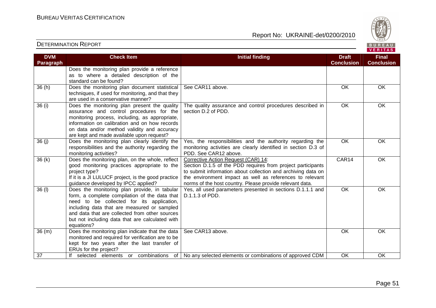

| <b>DVM</b><br><b>Paragraph</b> | <b>Check Item</b>                                                                                                                                                                                                                                                                                            | <b>Initial finding</b>                                                                                                                                                                                                                                                                     | <b>Draft</b><br><b>Conclusion</b> | <b>Final</b><br><b>Conclusion</b> |
|--------------------------------|--------------------------------------------------------------------------------------------------------------------------------------------------------------------------------------------------------------------------------------------------------------------------------------------------------------|--------------------------------------------------------------------------------------------------------------------------------------------------------------------------------------------------------------------------------------------------------------------------------------------|-----------------------------------|-----------------------------------|
|                                | Does the monitoring plan provide a reference<br>as to where a detailed description of the<br>standard can be found?                                                                                                                                                                                          |                                                                                                                                                                                                                                                                                            |                                   |                                   |
| 36(h)                          | Does the monitoring plan document statistical<br>techniques, if used for monitoring, and that they<br>are used in a conservative manner?                                                                                                                                                                     | See CAR11 above.                                                                                                                                                                                                                                                                           | OK                                | OK                                |
| 36 (i)                         | Does the monitoring plan present the quality<br>assurance and control procedures for the<br>monitoring process, including, as appropriate,<br>information on calibration and on how records<br>on data and/or method validity and accuracy<br>are kept and made available upon request?                      | The quality assurance and control procedures described in<br>section D.2 of PDD.                                                                                                                                                                                                           | OK                                | OK                                |
| 36(j)                          | Does the monitoring plan clearly identify the<br>responsibilities and the authority regarding the<br>monitoring activities?                                                                                                                                                                                  | Yes, the responsibilities and the authority regarding the<br>monitoring activities are clearly identified in section D.3 of<br>PDD. See CAR12 above.                                                                                                                                       | OK                                | OK                                |
| 36(k)                          | Does the monitoring plan, on the whole, reflect<br>good monitoring practices appropriate to the<br>project type?<br>If it is a JI LULUCF project, is the good practice<br>guidance developed by IPCC applied?                                                                                                | Corrective Action Request (CAR) 14:<br>Section D.1.5 of the PDD requires from project participants<br>to submit information about collection and archiving data on<br>the environment impact as well as references to relevant<br>norms of the host country. Please provide relevant data. | CAR14                             | <b>OK</b>                         |
| 36 (I)                         | Does the monitoring plan provide, in tabular<br>form, a complete compilation of the data that<br>need to be collected for its application,<br>including data that are measured or sampled<br>and data that are collected from other sources<br>but not including data that are calculated with<br>equations? | Yes, all used parameters presented in sections D.1.1.1 and<br>D.1.1.3 of PDD.                                                                                                                                                                                                              | $\overline{OK}$                   | OK                                |
| 36(m)                          | Does the monitoring plan indicate that the data<br>monitored and required for verification are to be<br>kept for two years after the last transfer of<br>ERUs for the project?                                                                                                                               | See CAR13 above.                                                                                                                                                                                                                                                                           | <b>OK</b>                         | <b>OK</b>                         |
| 37                             | If selected elements or combinations<br>of                                                                                                                                                                                                                                                                   | No any selected elements or combinations of approved CDM                                                                                                                                                                                                                                   | <b>OK</b>                         | <b>OK</b>                         |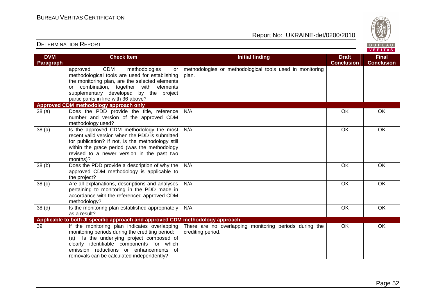

| <b>DVM</b><br>Paragraph | <b>Check Item</b>                                                                                                                                                                                                                                                                   | <b>Initial finding</b>                                                      | <b>Draft</b><br><b>Conclusion</b> | <b>Final</b><br><b>Conclusion</b> |
|-------------------------|-------------------------------------------------------------------------------------------------------------------------------------------------------------------------------------------------------------------------------------------------------------------------------------|-----------------------------------------------------------------------------|-----------------------------------|-----------------------------------|
|                         | <b>CDM</b><br>methodologies<br>approved<br>or<br>methodological tools are used for establishing<br>the monitoring plan, are the selected elements<br>or combination, together with elements<br>supplementary developed by the project<br>participants in line with 36 above?        | methodologies or methodological tools used in monitoring<br>plan.           |                                   |                                   |
|                         | Approved CDM methodology approach only                                                                                                                                                                                                                                              |                                                                             |                                   |                                   |
| 38 <sub>(a)</sub>       | Does the PDD provide the title, reference<br>number and version of the approved CDM<br>methodology used?                                                                                                                                                                            | N/A                                                                         | OK                                | OK                                |
| 38(a)                   | Is the approved CDM methodology the most<br>recent valid version when the PDD is submitted<br>for publication? If not, is the methodology still<br>within the grace period (was the methodology<br>revised to a newer version in the past two<br>months)?                           | N/A                                                                         | <b>OK</b>                         | OK                                |
| 38 <sub>(b)</sub>       | Does the PDD provide a description of why the<br>approved CDM methodology is applicable to<br>the project?                                                                                                                                                                          | N/A                                                                         | OK                                | OK                                |
| 38 <sub>(c)</sub>       | Are all explanations, descriptions and analyses<br>pertaining to monitoring in the PDD made in<br>accordance with the referenced approved CDM<br>methodology?                                                                                                                       | N/A                                                                         | OK                                | <b>OK</b>                         |
| 38 <sub>(d)</sub>       | Is the monitoring plan established appropriately<br>as a result?                                                                                                                                                                                                                    | N/A                                                                         | OK                                | OK                                |
|                         | Applicable to both JI specific approach and approved CDM methodology approach                                                                                                                                                                                                       |                                                                             |                                   |                                   |
| 39                      | If the monitoring plan indicates overlapping<br>monitoring periods during the crediting period:<br>Is the underlying project composed of<br>(a)<br>clearly identifiable components for which<br>emission reductions or enhancements of<br>removals can be calculated independently? | There are no overlapping monitoring periods during the<br>crediting period. | <b>OK</b>                         | OK                                |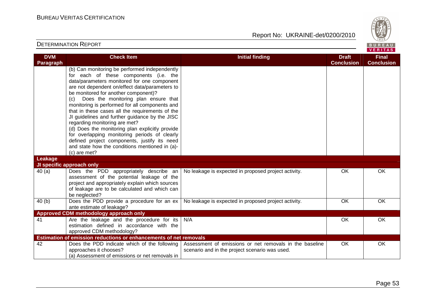

| <b>DVM</b> | <b>Check Item</b>                                                                                | <b>Initial finding</b>                                  | <b>Draft</b>      | <b>Final</b>      |
|------------|--------------------------------------------------------------------------------------------------|---------------------------------------------------------|-------------------|-------------------|
| Paragraph  |                                                                                                  |                                                         | <b>Conclusion</b> | <b>Conclusion</b> |
|            | (b) Can monitoring be performed independently                                                    |                                                         |                   |                   |
|            | for each of these components (i.e. the                                                           |                                                         |                   |                   |
|            | data/parameters monitored for one component                                                      |                                                         |                   |                   |
|            | are not dependent on/effect data/parameters to                                                   |                                                         |                   |                   |
|            | be monitored for another component)?                                                             |                                                         |                   |                   |
|            | Does the monitoring plan ensure that<br>(c)                                                      |                                                         |                   |                   |
|            | monitoring is performed for all components and                                                   |                                                         |                   |                   |
|            | that in these cases all the requirements of the                                                  |                                                         |                   |                   |
|            | JI guidelines and further guidance by the JISC                                                   |                                                         |                   |                   |
|            | regarding monitoring are met?                                                                    |                                                         |                   |                   |
|            | (d) Does the monitoring plan explicitly provide<br>for overlapping monitoring periods of clearly |                                                         |                   |                   |
|            | defined project components, justify its need                                                     |                                                         |                   |                   |
|            | and state how the conditions mentioned in (a)-                                                   |                                                         |                   |                   |
|            | (c) are met?                                                                                     |                                                         |                   |                   |
| Leakage    |                                                                                                  |                                                         |                   |                   |
|            | JI specific approach only                                                                        |                                                         |                   |                   |
| 40(a)      | Does the PDD appropriately describe an                                                           | No leakage is expected in proposed project activity.    | 0K                | OK                |
|            | assessment of the potential leakage of the                                                       |                                                         |                   |                   |
|            | project and appropriately explain which sources                                                  |                                                         |                   |                   |
|            | of leakage are to be calculated and which can                                                    |                                                         |                   |                   |
|            | be neglected?                                                                                    |                                                         |                   |                   |
| 40(b)      | Does the PDD provide a procedure for an ex                                                       | No leakage is expected in proposed project activity.    | OK                | OK                |
|            | ante estimate of leakage?                                                                        |                                                         |                   |                   |
|            | Approved CDM methodology approach only                                                           |                                                         |                   |                   |
| 41         | Are the leakage and the procedure for its                                                        | N/A                                                     | OK                | OK                |
|            | estimation defined in accordance with the                                                        |                                                         |                   |                   |
|            | approved CDM methodology?                                                                        |                                                         |                   |                   |
|            | Estimation of emission reductions or enhancements of net removals                                |                                                         |                   |                   |
| 42         | Does the PDD indicate which of the following                                                     | Assessment of emissions or net removals in the baseline | OK                | OK                |
|            | approaches it chooses?<br>(a) Assessment of emissions or net removals in                         | scenario and in the project scenario was used.          |                   |                   |
|            |                                                                                                  |                                                         |                   |                   |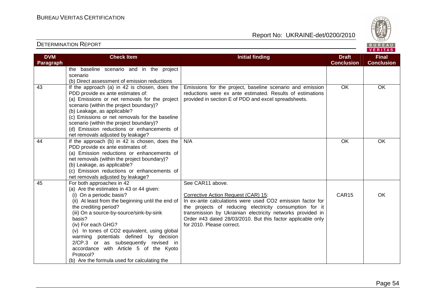

| <b>DVM</b> | <b>Check Item</b>                                 | <b>Initial finding</b>                                      | <b>Draft</b>      | <b>Final</b>      |
|------------|---------------------------------------------------|-------------------------------------------------------------|-------------------|-------------------|
| Paragraph  |                                                   |                                                             | <b>Conclusion</b> | <b>Conclusion</b> |
|            | the baseline scenario and in the project          |                                                             |                   |                   |
|            | scenario                                          |                                                             |                   |                   |
|            | (b) Direct assessment of emission reductions      |                                                             |                   |                   |
| 43         | If the approach (a) in 42 is chosen, does the     | Emissions for the project, baseline scenario and emission   | <b>OK</b>         | <b>OK</b>         |
|            | PDD provide ex ante estimates of:                 | reductions were ex ante estimated. Results of estimations   |                   |                   |
|            | (a) Emissions or net removals for the project     | provided in section E of PDD and excel spreadsheets.        |                   |                   |
|            | scenario (within the project boundary)?           |                                                             |                   |                   |
|            | (b) Leakage, as applicable?                       |                                                             |                   |                   |
|            | (c) Emissions or net removals for the baseline    |                                                             |                   |                   |
|            | scenario (within the project boundary)?           |                                                             |                   |                   |
|            | (d) Emission reductions or enhancements of        |                                                             |                   |                   |
|            | net removals adjusted by leakage?                 |                                                             |                   |                   |
| 44         | If the approach (b) in 42 is chosen, does the     | N/A                                                         | OK                | OK                |
|            | PDD provide ex ante estimates of:                 |                                                             |                   |                   |
|            | (a) Emission reductions or enhancements of        |                                                             |                   |                   |
|            | net removals (within the project boundary)?       |                                                             |                   |                   |
|            | (b) Leakage, as applicable?                       |                                                             |                   |                   |
|            | (c) Emission reductions or enhancements of        |                                                             |                   |                   |
|            | net removals adjusted by leakage?                 |                                                             |                   |                   |
| 45         | For both approaches in 42                         | See CAR11 above.                                            |                   |                   |
|            | (a) Are the estimates in 43 or 44 given:          |                                                             |                   |                   |
|            | (i) On a periodic basis?                          | Corrective Action Request (CAR) 15:                         | CAR15             | OK                |
|            | (ii) At least from the beginning until the end of | In ex-ante calculations were used CO2 emission factor for   |                   |                   |
|            | the crediting period?                             | the projects of reducing electricity consumption for it     |                   |                   |
|            | (iii) On a source-by-source/sink-by-sink          | transmission by Ukrainian electricity networks provided in  |                   |                   |
|            | basis?                                            | Order #43 dated 28/03/2010. But this factor applicable only |                   |                   |
|            | (iv) For each GHG?                                | for 2010. Please correct.                                   |                   |                   |
|            | (v) In tones of CO2 equivalent, using global      |                                                             |                   |                   |
|            | warming potentials defined by decision            |                                                             |                   |                   |
|            | 2/CP.3 or as subsequently revised in              |                                                             |                   |                   |
|            | accordance with Article 5 of the Kyoto            |                                                             |                   |                   |
|            | Protocol?                                         |                                                             |                   |                   |
|            | (b) Are the formula used for calculating the      |                                                             |                   |                   |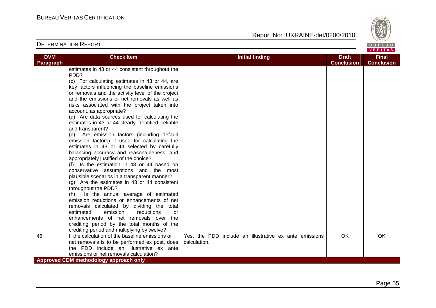

| <b>DVM</b><br><b>Check Item</b><br><b>Initial finding</b><br><b>Draft</b>                                                    | <b>Final</b>      |
|------------------------------------------------------------------------------------------------------------------------------|-------------------|
| <b>Conclusion</b><br>Paragraph                                                                                               | <b>Conclusion</b> |
| estimates in 43 or 44 consistent throughout the                                                                              |                   |
| PDD?                                                                                                                         |                   |
| (c) For calculating estimates in 43 or 44, are                                                                               |                   |
| key factors influencing the baseline emissions                                                                               |                   |
| or removals and the activity level of the project                                                                            |                   |
| and the emissions or net removals as well as                                                                                 |                   |
| risks associated with the project taken into                                                                                 |                   |
| account, as appropriate?                                                                                                     |                   |
| (d) Are data sources used for calculating the                                                                                |                   |
| estimates in 43 or 44 clearly identified, reliable                                                                           |                   |
| and transparent?                                                                                                             |                   |
| (e) Are emission factors (including default                                                                                  |                   |
| emission factors) if used for calculating the                                                                                |                   |
| estimates in 43 or 44 selected by carefully                                                                                  |                   |
| balancing accuracy and reasonableness, and                                                                                   |                   |
| appropriately justified of the choice?                                                                                       |                   |
| (f) Is the estimation in 43 or 44 based on                                                                                   |                   |
| conservative assumptions and the most                                                                                        |                   |
| plausible scenarios in a transparent manner?                                                                                 |                   |
| $(g)$ Are the estimates in 43 or 44 consistent                                                                               |                   |
| throughout the PDD?                                                                                                          |                   |
| Is the annual average of estimated<br>(h)                                                                                    |                   |
| emission reductions or enhancements of net                                                                                   |                   |
| removals calculated by dividing the total                                                                                    |                   |
| emission<br>reductions<br>estimated<br>or                                                                                    |                   |
| enhancements of net removals over the                                                                                        |                   |
| crediting period by the total months of the                                                                                  |                   |
| crediting period and multiplying by twelve?                                                                                  |                   |
| If the calculation of the baseline emissions or<br><b>OK</b><br>46<br>Yes, the PDD include an illustrative ex ante emissions | OK                |
| calculation.<br>net removals is to be performed ex post, does                                                                |                   |
| the PDD include an illustrative ex ante                                                                                      |                   |
| emissions or net removals calculation?                                                                                       |                   |
| Approved CDM methodology approach only                                                                                       |                   |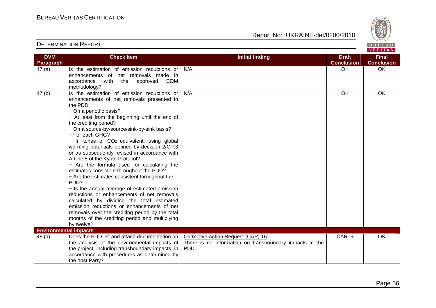Report No: UKRAINE-det/0200/2010



VERITAS

#### **DVM Paragraph Check Item Initial finding Check Item Initial finding Check Item Initial finding Check Item Initial finding Check ConclusionFinal Conclusion** 47 (a) Is the estimation of emission reductions or enhancements of net removals made in accordance with the approved CDM methodology? 47 (b) | Is the estimation of emission reductions or N/A OK OK OK enhancements of net removals presented in the PDD: − On a periodic basis? − At least from the beginning until the end of the crediting period? − On a source-by-source/sink-by-sink basis? − For each GHG? − In tones of CO2 equivalent, using global warming potentials defined by decision 2/CP.3 or as subsequently revised in accordance with Article 5 of the Kyoto Protocol? − Are the formula used for calculating the estimates consistent throughout the PDD? − Are the estimates consistent throughout the PD<sub>D?</sub> − Is the annual average of estimated emission reductions or enhancements of net removals calculated by dividing the total estimated emission reductions or enhancements of net removals over the crediting period by the total months of the crediting period and multiplying by twelve? **Environmental impacts** N/A OK OK OK 48 (a) Does the PDD list and attach documentation on the analysis of the environmental impacts of the project, including transboundary impacts, in accordance with procedures as determined by the host Party? Corrective Action Request (CAR) 16: There is no information on transboundary impacts in the PDD. CAR16 OK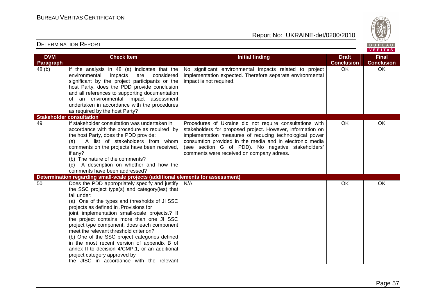

| <b>DVM</b> | <b>Check Item</b>                                                                                                                                                                                                                                                                                                                                                                                                                                                                                                                                                                                                                | <b>Initial finding</b>                                                                                                                                                                                                                                                                                                                          | <b>Draft</b>      | <b>Final</b>      |
|------------|----------------------------------------------------------------------------------------------------------------------------------------------------------------------------------------------------------------------------------------------------------------------------------------------------------------------------------------------------------------------------------------------------------------------------------------------------------------------------------------------------------------------------------------------------------------------------------------------------------------------------------|-------------------------------------------------------------------------------------------------------------------------------------------------------------------------------------------------------------------------------------------------------------------------------------------------------------------------------------------------|-------------------|-------------------|
| Paragraph  |                                                                                                                                                                                                                                                                                                                                                                                                                                                                                                                                                                                                                                  |                                                                                                                                                                                                                                                                                                                                                 | <b>Conclusion</b> | <b>Conclusion</b> |
| 48 (b)     | If the analysis in 48 (a) indicates that the<br>environmental<br>impacts<br>considered<br>are<br>significant by the project participants or the<br>host Party, does the PDD provide conclusion<br>and all references to supporting documentation<br>of an environmental impact assessment<br>undertaken in accordance with the procedures<br>as required by the host Party?                                                                                                                                                                                                                                                      | No significant environmental impacts related to project<br>implementation expected. Therefore separate environmental<br>impact is not required.                                                                                                                                                                                                 | $\overline{OK}$   | $\overline{OK}$   |
|            | <b>Stakeholder consultation</b>                                                                                                                                                                                                                                                                                                                                                                                                                                                                                                                                                                                                  |                                                                                                                                                                                                                                                                                                                                                 |                   |                   |
| 49         | If stakeholder consultation was undertaken in<br>accordance with the procedure as required by<br>the host Party, does the PDD provide:<br>A list of stakeholders from whom<br>(a)<br>comments on the projects have been received,<br>if any?<br>(b) The nature of the comments?<br>(c) A description on whether and how the<br>comments have been addressed?                                                                                                                                                                                                                                                                     | Procedures of Ukraine did not require consultations with<br>stakeholders for proposed project. However, information on<br>implementation measures of reducing technological power<br>consumtion provided in the media and in electronic media<br>(see section G of PDD). No negative stakeholders'<br>comments were received on company adress. | <b>OK</b>         | <b>OK</b>         |
|            | Determination regarding small-scale projects (additional elements for assessment)                                                                                                                                                                                                                                                                                                                                                                                                                                                                                                                                                |                                                                                                                                                                                                                                                                                                                                                 |                   |                   |
| 50         | Does the PDD appropriately specify and justify<br>the SSC project type(s) and category(ies) that<br>fall under:<br>(a) One of the types and thresholds of JI SSC<br>projects as defined in .Provisions for<br>joint implementation small-scale projects.? If<br>the project contains more than one JI SSC<br>project type component, does each component<br>meet the relevant threshold criterion?<br>(b) One of the SSC project categories defined<br>in the most recent version of appendix B of<br>annex II to decision 4/CMP.1, or an additional<br>project category approved by<br>the JISC in accordance with the relevant | N/A                                                                                                                                                                                                                                                                                                                                             | OK                | <b>OK</b>         |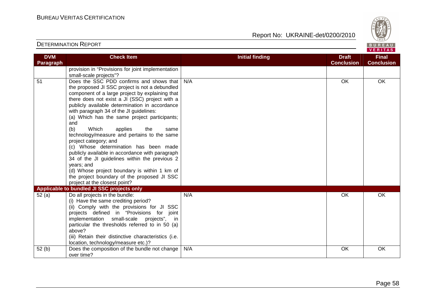

| <b>DVM</b>       | <b>Check Item</b>                                                                                                                                                                                                                                                                                                                                                                                                                                                                                                                                                                                                                                                                                                                                                                      | <b>Initial finding</b> | <b>Draft</b>      | <b>Final</b>      |
|------------------|----------------------------------------------------------------------------------------------------------------------------------------------------------------------------------------------------------------------------------------------------------------------------------------------------------------------------------------------------------------------------------------------------------------------------------------------------------------------------------------------------------------------------------------------------------------------------------------------------------------------------------------------------------------------------------------------------------------------------------------------------------------------------------------|------------------------|-------------------|-------------------|
| <b>Paragraph</b> |                                                                                                                                                                                                                                                                                                                                                                                                                                                                                                                                                                                                                                                                                                                                                                                        |                        | <b>Conclusion</b> | <b>Conclusion</b> |
|                  | provision in "Provisions for joint implementation<br>small-scale projects"?                                                                                                                                                                                                                                                                                                                                                                                                                                                                                                                                                                                                                                                                                                            |                        |                   |                   |
| 51               | Does the SSC PDD confirms and shows that                                                                                                                                                                                                                                                                                                                                                                                                                                                                                                                                                                                                                                                                                                                                               | N/A                    | <b>OK</b>         | OK.               |
|                  | the proposed JI SSC project is not a debundled                                                                                                                                                                                                                                                                                                                                                                                                                                                                                                                                                                                                                                                                                                                                         |                        |                   |                   |
|                  | component of a large project by explaining that                                                                                                                                                                                                                                                                                                                                                                                                                                                                                                                                                                                                                                                                                                                                        |                        |                   |                   |
|                  | there does not exist a JI (SSC) project with a                                                                                                                                                                                                                                                                                                                                                                                                                                                                                                                                                                                                                                                                                                                                         |                        |                   |                   |
|                  | publicly available determination in accordance                                                                                                                                                                                                                                                                                                                                                                                                                                                                                                                                                                                                                                                                                                                                         |                        |                   |                   |
|                  | with paragraph 34 of the JI guidelines:                                                                                                                                                                                                                                                                                                                                                                                                                                                                                                                                                                                                                                                                                                                                                |                        |                   |                   |
|                  | (a) Which has the same project participants;                                                                                                                                                                                                                                                                                                                                                                                                                                                                                                                                                                                                                                                                                                                                           |                        |                   |                   |
|                  | and                                                                                                                                                                                                                                                                                                                                                                                                                                                                                                                                                                                                                                                                                                                                                                                    |                        |                   |                   |
|                  | applies<br>the<br>same                                                                                                                                                                                                                                                                                                                                                                                                                                                                                                                                                                                                                                                                                                                                                                 |                        |                   |                   |
|                  |                                                                                                                                                                                                                                                                                                                                                                                                                                                                                                                                                                                                                                                                                                                                                                                        |                        |                   |                   |
|                  |                                                                                                                                                                                                                                                                                                                                                                                                                                                                                                                                                                                                                                                                                                                                                                                        |                        |                   |                   |
|                  |                                                                                                                                                                                                                                                                                                                                                                                                                                                                                                                                                                                                                                                                                                                                                                                        |                        |                   |                   |
|                  |                                                                                                                                                                                                                                                                                                                                                                                                                                                                                                                                                                                                                                                                                                                                                                                        |                        |                   |                   |
|                  |                                                                                                                                                                                                                                                                                                                                                                                                                                                                                                                                                                                                                                                                                                                                                                                        |                        |                   |                   |
|                  |                                                                                                                                                                                                                                                                                                                                                                                                                                                                                                                                                                                                                                                                                                                                                                                        |                        |                   |                   |
|                  |                                                                                                                                                                                                                                                                                                                                                                                                                                                                                                                                                                                                                                                                                                                                                                                        |                        |                   |                   |
|                  |                                                                                                                                                                                                                                                                                                                                                                                                                                                                                                                                                                                                                                                                                                                                                                                        |                        |                   |                   |
|                  |                                                                                                                                                                                                                                                                                                                                                                                                                                                                                                                                                                                                                                                                                                                                                                                        |                        |                   |                   |
| 52(a)            | Do all projects in the bundle:                                                                                                                                                                                                                                                                                                                                                                                                                                                                                                                                                                                                                                                                                                                                                         | N/A                    | OK                | OK                |
|                  | (i) Have the same crediting period?                                                                                                                                                                                                                                                                                                                                                                                                                                                                                                                                                                                                                                                                                                                                                    |                        |                   |                   |
|                  |                                                                                                                                                                                                                                                                                                                                                                                                                                                                                                                                                                                                                                                                                                                                                                                        |                        |                   |                   |
|                  | joint                                                                                                                                                                                                                                                                                                                                                                                                                                                                                                                                                                                                                                                                                                                                                                                  |                        |                   |                   |
|                  | - in                                                                                                                                                                                                                                                                                                                                                                                                                                                                                                                                                                                                                                                                                                                                                                                   |                        |                   |                   |
|                  |                                                                                                                                                                                                                                                                                                                                                                                                                                                                                                                                                                                                                                                                                                                                                                                        |                        |                   |                   |
|                  |                                                                                                                                                                                                                                                                                                                                                                                                                                                                                                                                                                                                                                                                                                                                                                                        |                        |                   |                   |
|                  |                                                                                                                                                                                                                                                                                                                                                                                                                                                                                                                                                                                                                                                                                                                                                                                        |                        |                   |                   |
|                  |                                                                                                                                                                                                                                                                                                                                                                                                                                                                                                                                                                                                                                                                                                                                                                                        |                        |                   |                   |
|                  |                                                                                                                                                                                                                                                                                                                                                                                                                                                                                                                                                                                                                                                                                                                                                                                        |                        |                   |                   |
| 52(b)            | (b)<br>Which<br>technology/measure and pertains to the same<br>project category; and<br>(c) Whose determination has been made<br>publicly available in accordance with paragraph<br>34 of the JI guidelines within the previous 2<br>years; and<br>(d) Whose project boundary is within 1 km of<br>the project boundary of the proposed JI SSC<br>project at the closest point?<br>Applicable to bundled JI SSC projects only<br>(ii) Comply with the provisions for JI SSC<br>projects defined in "Provisions for<br>implementation small-scale projects",<br>particular the thresholds referred to in 50 (a)<br>above?<br>(iii) Retain their distinctive characteristics (i.e.<br>location, technology/measure etc.)?<br>Does the composition of the bundle not change<br>over time? | N/A                    | OK                | OK                |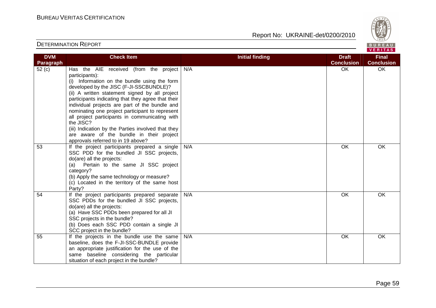

| <b>DVM</b> | <b>Check Item</b>                                                                                                                                                                                                                                                                                                                                                                                                                                                                                                                                                       | <b>Initial finding</b> | <b>Draft</b>      | <b>Final</b>      |
|------------|-------------------------------------------------------------------------------------------------------------------------------------------------------------------------------------------------------------------------------------------------------------------------------------------------------------------------------------------------------------------------------------------------------------------------------------------------------------------------------------------------------------------------------------------------------------------------|------------------------|-------------------|-------------------|
| Paragraph  |                                                                                                                                                                                                                                                                                                                                                                                                                                                                                                                                                                         |                        | <b>Conclusion</b> | <b>Conclusion</b> |
| 52(c)      | Has the AIE received (from the project<br>participants):<br>(i) Information on the bundle using the form<br>developed by the JISC (F-JI-SSCBUNDLE)?<br>(ii) A written statement signed by all project<br>participants indicating that they agree that their<br>individual projects are part of the bundle and<br>nominating one project participant to represent<br>all project participants in communicating with<br>the JISC?<br>(iii) Indication by the Parties involved that they<br>are aware of the bundle in their project<br>approvals referred to in 19 above? | N/A                    | OK                | OK                |
| 53         | If the project participants prepared a single<br>SSC PDD for the bundled JI SSC projects,<br>do(are) all the projects:<br>Pertain to the same JI SSC project<br>(a)<br>category?<br>(b) Apply the same technology or measure?<br>(c) Located in the territory of the same host<br>Party?                                                                                                                                                                                                                                                                                | N/A                    | OK                | OK                |
| 54         | If the project participants prepared separate<br>SSC PDDs for the bundled JI SSC projects,<br>do(are) all the projects:<br>(a) Have SSC PDDs been prepared for all JI<br>SSC projects in the bundle?<br>(b) Does each SSC PDD contain a single JI<br>SCC project in the bundle?                                                                                                                                                                                                                                                                                         | N/A                    | $\overline{OK}$   | <b>OK</b>         |
| 55         | If the projects in the bundle use the same<br>baseline, does the F-JI-SSC-BUNDLE provide<br>an appropriate justification for the use of the<br>same baseline considering the particular<br>situation of each project in the bundle?                                                                                                                                                                                                                                                                                                                                     | N/A                    | OK                | OK                |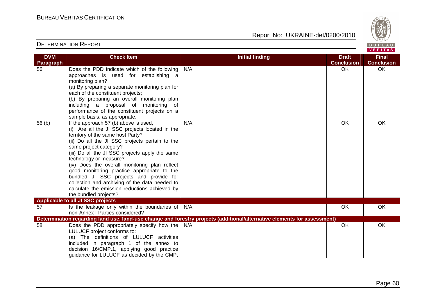Report No: UKRAINE-det/0200/2010



#### VERITAS **Check Item Initial finding Check Item Initial finding Check Item Initial finding Check Item Initial finding Check DVM Final Paragraph Conclusion Conclusion** 56 Does the PDD indicate which of the following N/A OK OK OK approaches is used for establishing a monitoring plan? (a) By preparing a separate monitoring plan for each of the constituent projects; (b) By preparing an overall monitoring plan including a proposal of monitoring of performance of the constituent projects on a sample basis, as appropriate.  $56$  (b) | If the approach  $57$  (b) above is used, N/A OK OK OK (i) Are all the JI SSC projects located in the territory of the same host Party? (ii) Do all the JI SSC projects pertain to the same project category? (iii) Do all the JI SSC projects apply the same technology or measure? (iv) Does the overall monitoring plan reflect good monitoring practice appropriate to the bundled JI SSC projects and provide for collection and archiving of the data needed to calculate the emission reductions achieved by the bundled projects? **Applicable to all JI SSC projects** 57 | Is the leakage only within the boundaries of N/A OK OK OK non-Annex I Parties considered? **Determination regarding land use, land-use change and forestry projects (additional/alternative elements for assessment)** 58 Does the PDD appropriately specify how the N/A N/A OK OK OK LULUCF project conforms to: (a) The definitions of LULUCF activities included in paragraph 1 of the annex to decision 16/CMP.1, applying good practice guidance for LULUCF as decided by the CMP,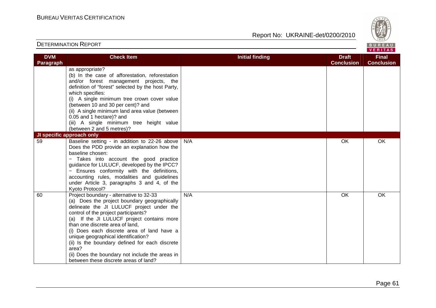

|                                |                                                                                                                                                                                                                                                                                                                                                                                                                                                                                                           |                        |                                   | VERIIAS I                         |  |
|--------------------------------|-----------------------------------------------------------------------------------------------------------------------------------------------------------------------------------------------------------------------------------------------------------------------------------------------------------------------------------------------------------------------------------------------------------------------------------------------------------------------------------------------------------|------------------------|-----------------------------------|-----------------------------------|--|
| <b>DVM</b><br><b>Paragraph</b> | <b>Check Item</b>                                                                                                                                                                                                                                                                                                                                                                                                                                                                                         | <b>Initial finding</b> | <b>Draft</b><br><b>Conclusion</b> | <b>Final</b><br><b>Conclusion</b> |  |
|                                | as appropriate?<br>(b) In the case of afforestation, reforestation<br>and/or forest management projects, the<br>definition of "forest" selected by the host Party,<br>which specifies:<br>(i) A single minimum tree crown cover value<br>(between 10 and 30 per cent)? and<br>(ii) A single minimum land area value (between<br>0.05 and 1 hectare)? and<br>(iii) A single minimum tree height value<br>(between 2 and 5 metres)?                                                                         |                        |                                   |                                   |  |
|                                | JI specific approach only                                                                                                                                                                                                                                                                                                                                                                                                                                                                                 |                        |                                   |                                   |  |
| 59                             | Baseline setting - in addition to 22-26 above<br>Does the PDD provide an explanation how the<br>baseline chosen:<br>- Takes into account the good practice<br>guidance for LULUCF, developed by the IPCC?<br>Ensures conformity with the definitions,<br>accounting rules, modalities and guidelines<br>under Article 3, paragraphs 3 and 4, of the<br>Kyoto Protocol?                                                                                                                                    | N/A                    | OK                                | OK                                |  |
| 60                             | Project boundary - alternative to 32-33<br>(a) Does the project boundary geographically<br>delineate the JI LULUCF project under the<br>control of the project participants?<br>(a) If the JI LULUCF project contains more<br>than one discrete area of land,<br>(i) Does each discrete area of land have a<br>unique geographical identification?<br>(ii) Is the boundary defined for each discrete<br>area?<br>(ii) Does the boundary not include the areas in<br>between these discrete areas of land? | N/A                    | <b>OK</b>                         | OK                                |  |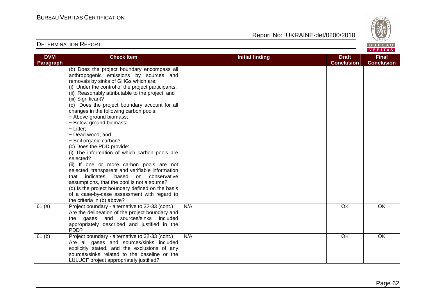Report No: UKRAINE-det/0200/2010



**Final Conclusion** 

**Conclusion**

#### **DVM Paragraph Check Item Initial finding Check Item Initial finding Check Item Initial finding Check Item Initial finding Draft** (b) Does the project boundary encompass all anthropogenic emissions by sources and removals by sinks of GHGs which are: (i) Under the control of the project participants;(ii) Reasonably attributable to the project; and (iii) Significant? (c) Does the project boundary account for all changes in the following carbon pools: − Above-ground biomass; − Below-ground biomass; − Litter; − Dead wood; and

|        | (i) Under the control of the project participants;<br>(ii) Reasonably attributable to the project; and<br>(iii) Significant?<br>(c) Does the project boundary account for all<br>changes in the following carbon pools:<br>- Above-ground biomass;<br>- Below-ground biomass;<br>$-$ Litter;<br>- Dead wood; and<br>- Soil organic carbon?<br>(c) Does the PDD provide:<br>(i) The information of which carbon pools are<br>selected?<br>(ii) If one or more carbon pools are not<br>selected, transparent and verifiable information<br>based<br>that indicates.<br>on<br>conservative<br>assumptions, that the pool is not a source?<br>(d) Is the project boundary defined on the basis<br>of a case-by-case assessment with regard to<br>the criteria in (b) above? |     |           |    |
|--------|-------------------------------------------------------------------------------------------------------------------------------------------------------------------------------------------------------------------------------------------------------------------------------------------------------------------------------------------------------------------------------------------------------------------------------------------------------------------------------------------------------------------------------------------------------------------------------------------------------------------------------------------------------------------------------------------------------------------------------------------------------------------------|-----|-----------|----|
| 61 (a) | Project boundary - alternative to 32-33 (cont.)<br>Are the delineation of the project boundary and<br>the gases and sources/sinks included<br>appropriately described and justified in the<br>PD <sub>D</sub> ?                                                                                                                                                                                                                                                                                                                                                                                                                                                                                                                                                         | N/A | <b>OK</b> | OK |
| 61 (b) | Project boundary - alternative to 32-33 (cont.)<br>Are all gases and sources/sinks included<br>explicitly stated, and the exclusions of any<br>sources/sinks related to the baseline or the<br>LULUCF project appropriately justified?                                                                                                                                                                                                                                                                                                                                                                                                                                                                                                                                  | N/A | OK        | OK |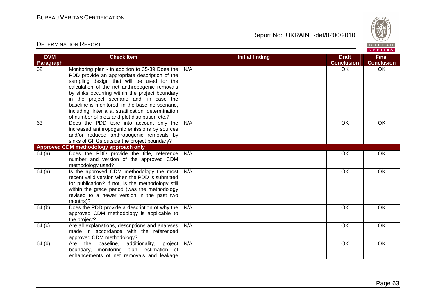Report No: UKRAINE-det/0200/2010



#### VERITAS **Check Item Initial finding Check Item Initial finding Check Item Initial finding Check Item Initial finding DVM Final Paragraph Conclusion Conclusion** 62 Monitoring plan - in addition to 35-39 Does the N/A OK OK OK PDD provide an appropriate description of the sampling design that will be used for the calculation of the net anthropogenic removals by sinks occurring within the project boundary in the project scenario and, in case the baseline is monitored, in the baseline scenario, including, inter alia, stratification, determination of number of plots and plot distribution etc.? 63 Does the PDD take into account only the N/A OK OK OK increased anthropogenic emissions by sources and/or reduced anthropogenic removals by sinks of GHGs outside the project boundary? **Approved CDM methodology approach only**  64 (a) Does the PDD provide the title, reference N/A OK OK number and version of the approved CDM methodology used?  $64$  (a) | Is the approved CDM methodology the most N/A OK OK OK recent valid version when the PDD is submitted for publication? If not, is the methodology still within the grace period (was the methodology revised to a newer version in the past two months)? 64 (b) Does the PDD provide a description of why the N/A OK OK OK approved CDM methodology is applicable to the project? 64 (c) Are all explanations, descriptions and analyses N/A OK OK OK made in accordance with the referenced approved CDM methodology? 64 (d) Are the baseline, additionality, project N/A OK OK OK boundary, monitoring plan, estimation of enhancements of net removals and leakage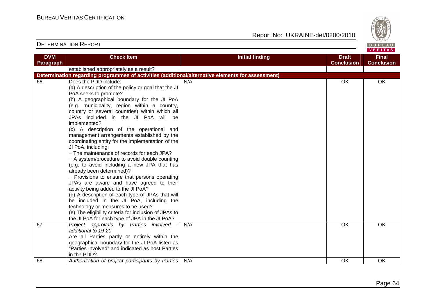

| <b>DVM</b> | <b>Check Item</b>                                                                                 | <b>Initial finding</b> | <b>Draft</b>      | <b>Final</b>      |
|------------|---------------------------------------------------------------------------------------------------|------------------------|-------------------|-------------------|
| Paragraph  |                                                                                                   |                        | <b>Conclusion</b> | <b>Conclusion</b> |
|            | established appropriately as a result?                                                            |                        |                   |                   |
|            | Determination regarding programmes of activities (additional/alternative elements for assessment) |                        |                   |                   |
| 66         | Does the PDD include:                                                                             | N/A                    | OK                | <b>OK</b>         |
|            | (a) A description of the policy or goal that the JI                                               |                        |                   |                   |
|            | PoA seeks to promote?                                                                             |                        |                   |                   |
|            | (b) A geographical boundary for the JI PoA                                                        |                        |                   |                   |
|            | (e.g. municipality, region within a country,                                                      |                        |                   |                   |
|            | country or several countries) within which all                                                    |                        |                   |                   |
|            | JPAs included in the JI PoA will be                                                               |                        |                   |                   |
|            | implemented?                                                                                      |                        |                   |                   |
|            | (c) A description of the operational and                                                          |                        |                   |                   |
|            | management arrangements established by the                                                        |                        |                   |                   |
|            | coordinating entity for the implementation of the                                                 |                        |                   |                   |
|            | JI PoA, including:                                                                                |                        |                   |                   |
|            | - The maintenance of records for each JPA?                                                        |                        |                   |                   |
|            | - A system/procedure to avoid double counting                                                     |                        |                   |                   |
|            | (e.g. to avoid including a new JPA that has                                                       |                        |                   |                   |
|            | already been determined)?                                                                         |                        |                   |                   |
|            | - Provisions to ensure that persons operating                                                     |                        |                   |                   |
|            | JPAs are aware and have agreed to their                                                           |                        |                   |                   |
|            | activity being added to the JI PoA?                                                               |                        |                   |                   |
|            | (d) A description of each type of JPAs that will                                                  |                        |                   |                   |
|            | be included in the JI PoA, including the<br>technology or measures to be used?                    |                        |                   |                   |
|            | (e) The eligibility criteria for inclusion of JPAs to                                             |                        |                   |                   |
|            | the JI PoA for each type of JPA in the JI PoA?                                                    |                        |                   |                   |
| 67         | Project approvals by Parties involved                                                             | N/A                    | <b>OK</b>         | <b>OK</b>         |
|            | additional to 19-20                                                                               |                        |                   |                   |
|            | Are all Parties partly or entirely within the                                                     |                        |                   |                   |
|            | geographical boundary for the JI PoA listed as                                                    |                        |                   |                   |
|            | "Parties involved" and indicated as host Parties                                                  |                        |                   |                   |
|            | in the PDD?                                                                                       |                        |                   |                   |
| 68         | Authorization of project participants by Parties                                                  | N/A                    | OK                | OK                |
|            |                                                                                                   |                        |                   |                   |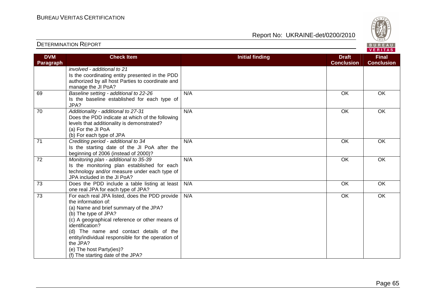

| <b>DVM</b> | <b>Check Item</b>                                                                           | <b>Initial finding</b> | <b>Draft</b>      | <b>Final</b>      |
|------------|---------------------------------------------------------------------------------------------|------------------------|-------------------|-------------------|
| Paragraph  |                                                                                             |                        | <b>Conclusion</b> | <b>Conclusion</b> |
|            | involved - additional to 21                                                                 |                        |                   |                   |
|            | Is the coordinating entity presented in the PDD                                             |                        |                   |                   |
|            | authorized by all host Parties to coordinate and                                            |                        |                   |                   |
|            | manage the JI PoA?                                                                          |                        |                   |                   |
| 69         | Baseline setting - additional to 22-26                                                      | N/A                    | OK                | OK                |
|            | Is the baseline established for each type of<br>JPA?                                        |                        |                   |                   |
| 70         | Additionality - additional to 27-31                                                         | N/A                    | OK                | OK                |
|            | Does the PDD indicate at which of the following                                             |                        |                   |                   |
|            | levels that additionality is demonstrated?                                                  |                        |                   |                   |
|            | (a) For the JI PoA                                                                          |                        |                   |                   |
|            | (b) For each type of JPA                                                                    |                        |                   |                   |
| 71         | Crediting period - additional to 34                                                         | N/A                    | OK                | OK                |
|            | Is the starting date of the JI PoA after the                                                |                        |                   |                   |
|            | beginning of 2006 (instead of 2000)?                                                        |                        |                   |                   |
| 72         | Monitoring plan - additional to 35-39                                                       | N/A                    | OK                | OK                |
|            | Is the monitoring plan established for each<br>technology and/or measure under each type of |                        |                   |                   |
|            | JPA included in the JI PoA?                                                                 |                        |                   |                   |
| 73         | Does the PDD include a table listing at least                                               | N/A                    | OK                | OK                |
|            | one real JPA for each type of JPA?                                                          |                        |                   |                   |
| 73         | For each real JPA listed, does the PDD provide                                              | N/A                    | OK                | OK                |
|            | the information of:                                                                         |                        |                   |                   |
|            | (a) Name and brief summary of the JPA?                                                      |                        |                   |                   |
|            | (b) The type of JPA?                                                                        |                        |                   |                   |
|            | (c) A geographical reference or other means of                                              |                        |                   |                   |
|            | identification?                                                                             |                        |                   |                   |
|            | (d) The name and contact details of the                                                     |                        |                   |                   |
|            | entity/individual responsible for the operation of                                          |                        |                   |                   |
|            | the JPA?                                                                                    |                        |                   |                   |
|            | (e) The host Party(ies)?                                                                    |                        |                   |                   |
|            | (f) The starting date of the JPA?                                                           |                        |                   |                   |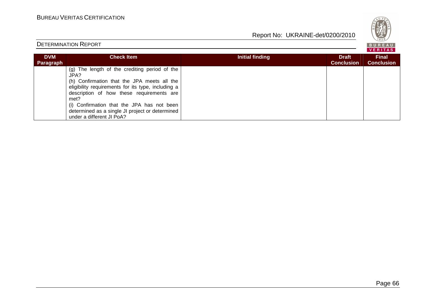

# DETERMINATION REPORT

BUREAU<br><mark>VERITAS</mark>

| <b>DVM</b><br>Paragraph | <b>Check Item</b>                                                                                                                                                                                                                                                                                                                             | Initial finding | <b>Draft</b><br><b>Conclusion</b> | <b>Final</b><br><b>Conclusion</b> |
|-------------------------|-----------------------------------------------------------------------------------------------------------------------------------------------------------------------------------------------------------------------------------------------------------------------------------------------------------------------------------------------|-----------------|-----------------------------------|-----------------------------------|
|                         | (g) The length of the crediting period of the<br>JPA?<br>(h) Confirmation that the JPA meets all the<br>eligibility requirements for its type, including a<br>description of how these requirements are<br>met?<br>(i) Confirmation that the JPA has not been<br>determined as a single JI project or determined<br>under a different JI PoA? |                 |                                   |                                   |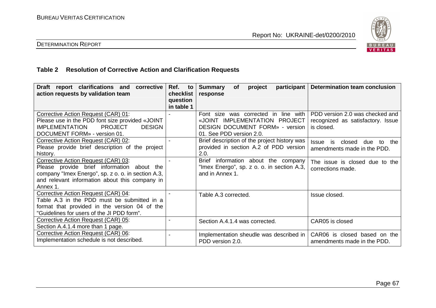

# DETERMINATION REPORT

# **Table 2 Resolution of Corrective Action and Clarification Requests**

| Draft report clarifications and<br>corrective<br>action requests by validation team                                                                                                                   | Ref.<br>to<br>checklist<br>question<br>in table 1 | participant  <br><b>Summary</b><br>project<br><b>of</b><br>response                                                                         | <b>Determination team conclusion</b>                                               |
|-------------------------------------------------------------------------------------------------------------------------------------------------------------------------------------------------------|---------------------------------------------------|---------------------------------------------------------------------------------------------------------------------------------------------|------------------------------------------------------------------------------------|
| Corrective Action Request (CAR) 01:<br>Please use in the PDD font size provided «JOINT<br><b>PROJECT</b><br><b>IMPLEMENTATION</b><br><b>DESIGN</b><br>DOCUMENT FORM» - version 01.                    |                                                   | Font size was corrected in line with<br>«JOINT IMPLEMENTATION PROJECT<br><b>DESIGN DOCUMENT FORM» - version</b><br>01. See PDD version 2.0. | PDD version 2.0 was checked and<br>recognized as satisfactory. Issue<br>is closed. |
| Corrective Action Request (CAR) 02:<br>Please provide brief description of the project<br>history.                                                                                                    |                                                   | Brief description of the project history was<br>provided in section A.2 of PDD version<br>2.0.                                              | closed<br><b>Issue</b><br>is<br>due<br>the<br>to<br>amendments made in the PDD.    |
| Corrective Action Request (CAR) 03:<br>Please provide brief information about the<br>company "Imex Energo", sp. z o. o. in section A.3,<br>and relevant information about this company in<br>Annex 1. |                                                   | <b>Brief</b><br>information about the company<br>"Imex Energo", sp. z o. o. in section A.3,<br>and in Annex 1.                              | The issue is closed due to the<br>corrections made.                                |
| Corrective Action Request (CAR) 04:<br>Table A.3 in the PDD must be submitted in a<br>format that provided in the version 04 of the<br>"Guidelines for users of the JI PDD form".                     |                                                   | Table A.3 corrected.                                                                                                                        | Issue closed.                                                                      |
| Corrective Action Request (CAR) 05:<br>Section A.4.1.4 more than 1 page.                                                                                                                              |                                                   | Section A.4.1.4 was corrected.                                                                                                              | CAR05 is closed                                                                    |
| Corrective Action Request (CAR) 06:<br>Implementation schedule is not described.                                                                                                                      |                                                   | Implementation sheudle was described in<br>PDD version 2.0.                                                                                 | CAR06 is closed based on the<br>amendments made in the PDD.                        |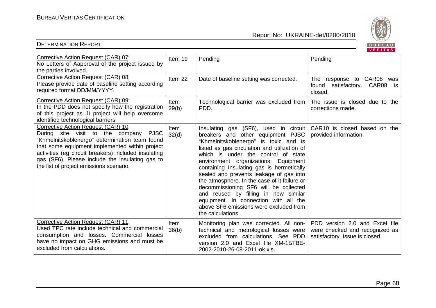

|                                                                                                                                                                                                                                                                                                                                                  |               |                                                                                                                                                                                                                                                                                                                                                                                                                                                                                                                                                                                     | <b>VERIIAS</b>                                                                                     |
|--------------------------------------------------------------------------------------------------------------------------------------------------------------------------------------------------------------------------------------------------------------------------------------------------------------------------------------------------|---------------|-------------------------------------------------------------------------------------------------------------------------------------------------------------------------------------------------------------------------------------------------------------------------------------------------------------------------------------------------------------------------------------------------------------------------------------------------------------------------------------------------------------------------------------------------------------------------------------|----------------------------------------------------------------------------------------------------|
| Corrective Action Request (CAR) 07:<br>No Letters of Aapproval of the project issued by<br>the parties involved.                                                                                                                                                                                                                                 | Item 19       | Pending                                                                                                                                                                                                                                                                                                                                                                                                                                                                                                                                                                             | Pending                                                                                            |
| Corrective Action Request (CAR) 08:<br>Please provide date of baseline setting according<br>required format DD/MM/YYYY.                                                                                                                                                                                                                          | Item 22       | Date of baseline setting was corrected.                                                                                                                                                                                                                                                                                                                                                                                                                                                                                                                                             | The response to CAR08<br>was<br>found satisfactory. CAR08 is<br>closed.                            |
| Corrective Action Request (CAR) 09:<br>In the PDD does not specify how the registration<br>of this project as JI project will help overcome<br>identified technological barriers.                                                                                                                                                                | Item<br>29(b) | Technological barrier was excluded from<br>PDD.                                                                                                                                                                                                                                                                                                                                                                                                                                                                                                                                     | The issue is closed due to the<br>corrections made.                                                |
| Corrective Action Request (CAR) 10:<br>During site visit to the company<br><b>PJSC</b><br>"Khmelnitskoblenergo" determination team found<br>that some equipment implemented within project<br>activities (eg circuit breakers) included insulating<br>gas (SF6). Please include the insulating gas to<br>the list of project emissions scenario. | Item<br>32(d) | Insulating gas (SF6), used in circuit<br>breakers and other equipment PJSC<br>"Khmelnitskoblenergo" is toxic and is<br>listed as gas circulation and utilization of<br>which is under the control of state<br>environment organizations. Equipment<br>containing Insulating gas is hermetically<br>sealed and prevents leakage of gas into<br>the atmosphere. In the case of it failure or<br>decommissioning SF6 will be collected<br>and reused by filling in new similar<br>equipment. In connection with all the<br>above SF6 emissions were excluded from<br>the calculations. | CAR10 is closed based on the<br>provided information.                                              |
| Corrective Action Request (CAR) 11:<br>Used TPC rate include technical and commercial<br>consumption and losses. Commercial losses<br>have no impact on GHG emissions and must be<br>excluded from calculations.                                                                                                                                 | Item<br>36(b) | Monitoring plan was corrected. All non-<br>technical and metrological losses were<br>excluded from calculations. See PDD<br>version 2.0 and Excel file XM-15TBE-<br>2002-2010-26-08-2011-ok.xls.                                                                                                                                                                                                                                                                                                                                                                                    | PDD version 2.0 and Excel file<br>were checked and recognized as<br>satisfactory. Issue is closed. |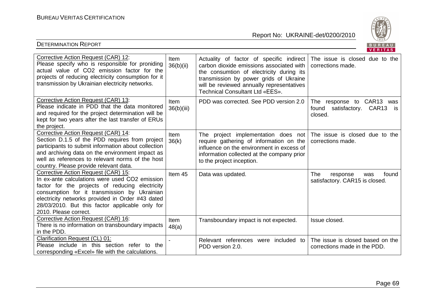

|                                                                                                                                                                                                                                                                                                                          |                           |                                                                                                                                                                                                                                                            | VENIIAS                                                                  |
|--------------------------------------------------------------------------------------------------------------------------------------------------------------------------------------------------------------------------------------------------------------------------------------------------------------------------|---------------------------|------------------------------------------------------------------------------------------------------------------------------------------------------------------------------------------------------------------------------------------------------------|--------------------------------------------------------------------------|
| Corrective Action Request (CAR) 12:<br>Please specify who is responsible for proniding<br>actual value of CO2 emission factor for the<br>projects of reducing electricity consumption for it<br>transmission by Ukrainian electricity networks.                                                                          | Item<br>36(b)(ii)         | Actuality of factor of specific indirect<br>carbon dioxide emissions associated with<br>the consumtion of electricity during its<br>transmission by power grids of Ukraine<br>will be reviewed annually representatives<br>Technical Consultant Ltd «EES». | The issue is closed due to the<br>corrections made.                      |
| Corrective Action Request (CAR) 13:<br>Please indicate in PDD that the data monitored<br>and required for the project determination will be<br>kept for two years after the last transfer of ERUs<br>the project.                                                                                                        | <b>Item</b><br>36(b)(iii) | PDD was corrected. See PDD version 2.0                                                                                                                                                                                                                     | The response to CAR13 was<br>found satisfactory. CAR13<br>is.<br>closed. |
| Corrective Action Request (CAR) 14:<br>Section D.1.5 of the PDD requires from project<br>participants to submit information about collection<br>and archiving data on the environment impact as<br>well as references to relevant norms of the host<br>country. Please provide relevant data.                            | Item<br>36(k)             | The project implementation does not<br>require gathering of information on the<br>influence on the environment in excess of<br>information collected at the company prior<br>to the project inception.                                                     | The issue is closed due to the<br>corrections made.                      |
| Corrective Action Request (CAR) 15:<br>In ex-ante calculations were used CO2 emission<br>factor for the projects of reducing electricity<br>consumption for it transmission by Ukrainian<br>electricity networks provided in Order #43 dated<br>28/03/2010. But this factor applicable only for<br>2010. Please correct. | Item 45                   | Data was updated.                                                                                                                                                                                                                                          | The<br>found<br>response<br>was<br>satisfactory. CAR15 is closed.        |
| Corrective Action Request (CAR) 16:<br>There is no information on transboundary impacts<br>in the PDD.                                                                                                                                                                                                                   | Item<br>48(a)             | Transboundary impact is not expected.                                                                                                                                                                                                                      | Issue closed.                                                            |
| <b>Clarification Request (CL) 01:</b><br>Please include in this section refer to the<br>corresponding «Excel» file with the calculations.                                                                                                                                                                                |                           | Relevant references were included to<br>PDD version 2.0.                                                                                                                                                                                                   | The issue is closed based on the<br>corrections made in the PDD.         |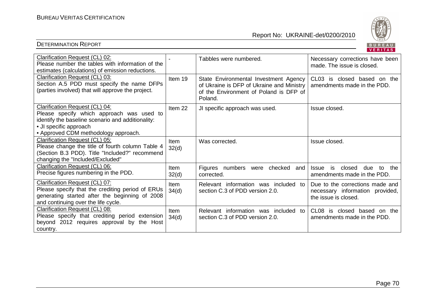

| Clarification Request (CL) 02:<br>Please number the tables with information of the<br>estimates (calculations) of emission reductions.                                                             |                      | Tabbles were numbered.                                                                                                                  | Necessary corrections have been<br>made. The issue is closed.                              |
|----------------------------------------------------------------------------------------------------------------------------------------------------------------------------------------------------|----------------------|-----------------------------------------------------------------------------------------------------------------------------------------|--------------------------------------------------------------------------------------------|
| Clarification Request (CL) 03:<br>Section A.5 PDD must specify the name DFPs<br>(parties involved) that will approve the project.                                                                  | Item 19              | State Environmental Investment Agency<br>of Ukraine is DFP of Ukraine and Ministry<br>of the Environment of Poland is DFP of<br>Poland. | CL03 is closed based on the<br>amendments made in the PDD.                                 |
| Clarification Request (CL) 04:<br>Please specify which approach was used to<br>identify the baseline scenario and additionality:<br>• JI specific approach<br>• Approved CDM methodology approach. | Item 22              | JI specific approach was used.                                                                                                          | Issue closed.                                                                              |
| Clarification Request (CL) 05:<br>Please change the title of fourth column Table 4<br>(Section B.3 PDD). Title "Included?" recommend<br>changing the "Included/Excluded"                           | <b>Item</b><br>32(d) | Was corrected.                                                                                                                          | Issue closed.                                                                              |
| Clarification Request (CL) 06:<br>Precise figures numbering in the PDD.                                                                                                                            | <b>Item</b><br>32(d) | Figures numbers were checked<br>and<br>corrected.                                                                                       | closed<br>the<br>is<br>due<br><b>Issue</b><br>to<br>amendments made in the PDD.            |
| Clarification Request (CL) 07:<br>Please specify that the crediting period of ERUs<br>generating started after the beginning of 2008<br>and continuing over the life cycle.                        | <b>Item</b><br>34(d) | Relevant information was included to<br>section C.3 of PDD version 2.0.                                                                 | Due to the corrections made and<br>necessary information provided,<br>the issue is closed. |
| Clarification Request (CL) 08:<br>Please specify that crediting period extension<br>beyond 2012 requires approval by<br>the Host<br>country.                                                       | Item<br>34(d)        | Relevant information was included<br>−to<br>section C.3 of PDD version 2.0.                                                             | CL <sub>08</sub><br>is<br>closed based on the<br>amendments made in the PDD.               |